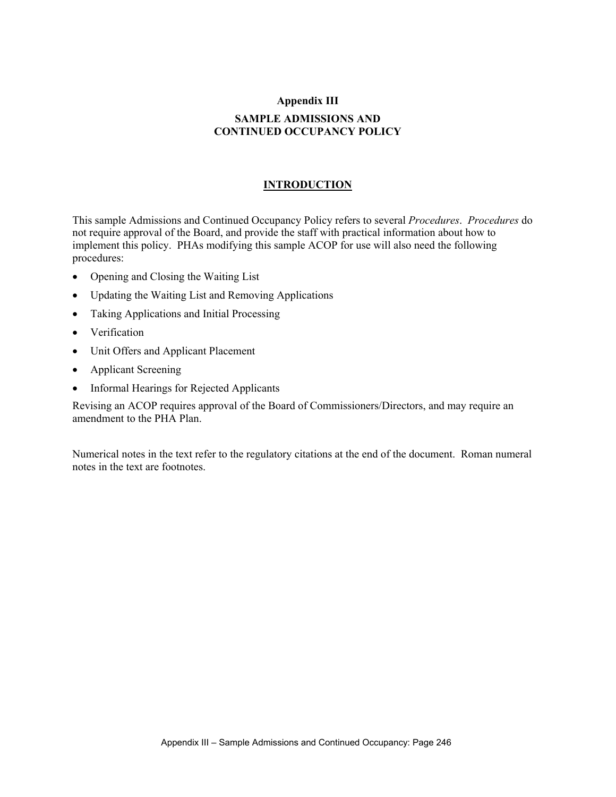# **Appendix III SAMPLE ADMISSIONS AND CONTINUED OCCUPANCY POLICY**

#### **INTRODUCTION**

This sample Admissions and Continued Occupancy Policy refers to several *Procedures*. *Procedures* do not require approval of the Board, and provide the staff with practical information about how to implement this policy. PHAs modifying this sample ACOP for use will also need the following procedures:

- Opening and Closing the Waiting List
- Updating the Waiting List and Removing Applications
- Taking Applications and Initial Processing
- Verification
- Unit Offers and Applicant Placement
- Applicant Screening
- Informal Hearings for Rejected Applicants

Revising an ACOP requires approval of the Board of Commissioners/Directors, and may require an amendment to the PHA Plan.

Numerical notes in the text refer to the regulatory citations at the end of the document. Roman numeral notes in the text are footnotes.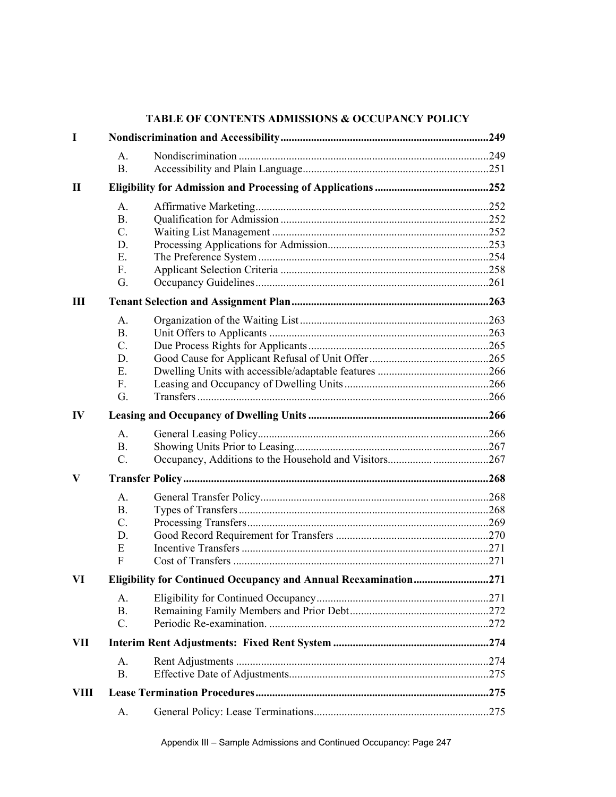| $\bf{I}$  |                                  | TABLE OF CONTENTS ADMISSIONS & OCCUPANCY POLICY |  |  |
|-----------|----------------------------------|-------------------------------------------------|--|--|
|           |                                  |                                                 |  |  |
|           | A <sub>1</sub><br><b>B.</b>      |                                                 |  |  |
| <b>II</b> |                                  |                                                 |  |  |
|           | A <sub>1</sub>                   |                                                 |  |  |
|           | <b>B.</b>                        |                                                 |  |  |
|           | $C_{\cdot}$                      |                                                 |  |  |
|           | D.                               |                                                 |  |  |
|           | E.                               |                                                 |  |  |
|           | F.                               |                                                 |  |  |
|           | G.                               |                                                 |  |  |
| Ш         |                                  |                                                 |  |  |
|           | $A_{\cdot}$                      |                                                 |  |  |
|           | B <sub>1</sub>                   |                                                 |  |  |
|           | $C_{\cdot}$                      |                                                 |  |  |
|           | D.<br>Е.                         |                                                 |  |  |
|           | F.                               |                                                 |  |  |
|           | G.                               |                                                 |  |  |
| $\bf{IV}$ |                                  |                                                 |  |  |
|           | A <sub>1</sub>                   |                                                 |  |  |
|           | B <sub>1</sub>                   |                                                 |  |  |
|           | $C$ .                            |                                                 |  |  |
| V         |                                  |                                                 |  |  |
|           | $\mathbf{A}$ .                   |                                                 |  |  |
|           | <b>B.</b>                        |                                                 |  |  |
|           | C.                               |                                                 |  |  |
|           | D.                               |                                                 |  |  |
|           | E<br>F                           |                                                 |  |  |
| VI        |                                  |                                                 |  |  |
|           |                                  |                                                 |  |  |
|           | A <sub>1</sub><br>B <sub>1</sub> |                                                 |  |  |
|           | $C_{\cdot}$                      |                                                 |  |  |
| VII       |                                  |                                                 |  |  |
|           |                                  |                                                 |  |  |
|           | A.<br><b>B.</b>                  |                                                 |  |  |
| VIII      |                                  |                                                 |  |  |
|           |                                  |                                                 |  |  |
|           | A.                               |                                                 |  |  |

# **TABLE OF CONTENTS ADMISSIONS & OCCUPANCY POLICY**

Appendix III – Sample Admissions and Continued Occupancy: Page 247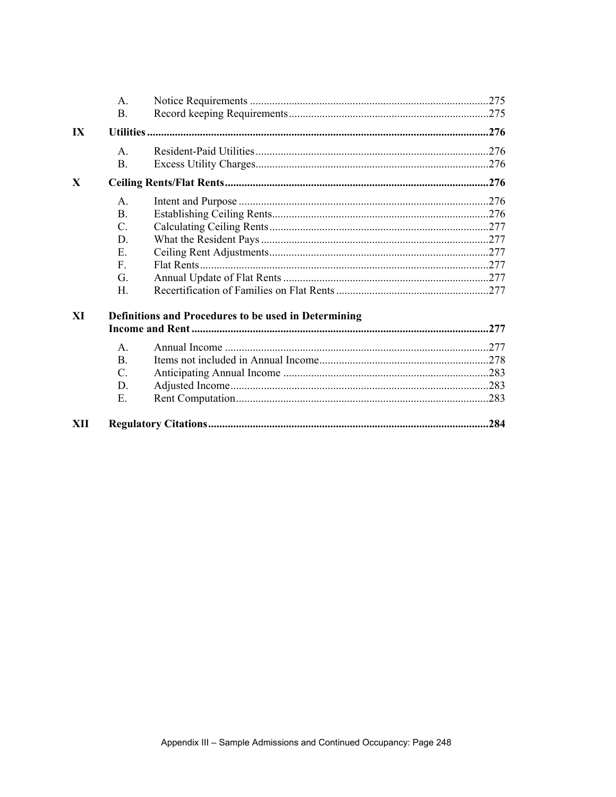|                         | $\mathsf{A}$                                         |  |      |
|-------------------------|------------------------------------------------------|--|------|
|                         | <b>B.</b>                                            |  |      |
| $\mathbf{I} \mathbf{X}$ |                                                      |  |      |
|                         | $A_{\cdot}$                                          |  |      |
|                         | B.                                                   |  |      |
| X                       |                                                      |  |      |
|                         | $\mathsf{A}$                                         |  |      |
|                         | <b>B.</b>                                            |  |      |
|                         | $\mathcal{C}$ .                                      |  |      |
|                         | D.                                                   |  |      |
|                         | E                                                    |  |      |
|                         | $\mathbf{F}$                                         |  |      |
|                         | G.                                                   |  |      |
|                         | H                                                    |  |      |
| XI                      | Definitions and Procedures to be used in Determining |  |      |
|                         | $\mathsf{A}$ .                                       |  |      |
|                         | $\mathbf{B}$                                         |  |      |
|                         | $\mathcal{C}$ .                                      |  |      |
|                         | D.                                                   |  |      |
|                         | E.                                                   |  |      |
| XII                     |                                                      |  | .284 |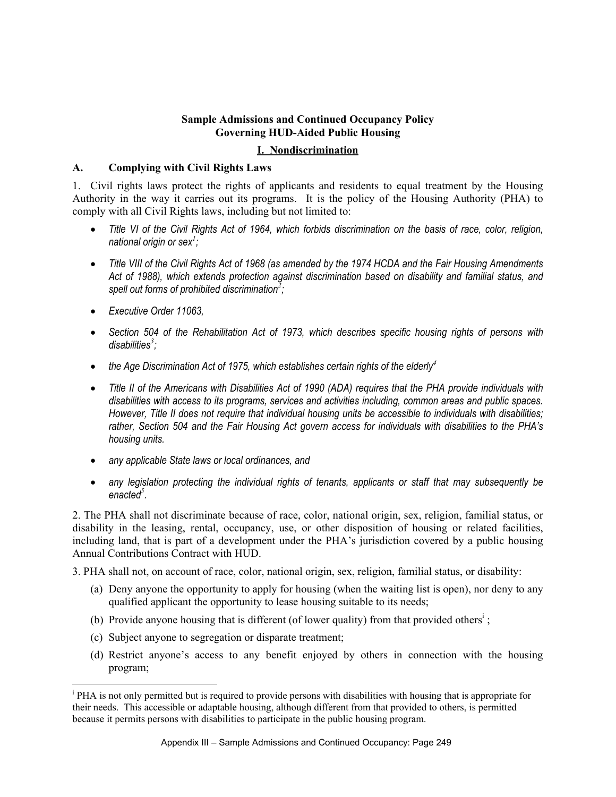# **Sample Admissions and Continued Occupancy Policy Governing HUD-Aided Public Housing**

#### **I. Nondiscrimination**

#### **A. Complying with Civil Rights Laws**

1. Civil rights laws protect the rights of applicants and residents to equal treatment by the Housing Authority in the way it carries out its programs. It is the policy of the Housing Authority (PHA) to comply with all Civil Rights laws, including but not limited to:

- *Title VI of the Civil Rights Act of 1964, which forbids discrimination on the basis of race, color, religion, national origin or sex<sup>1</sup> ;*
- *Title VIII of the Civil Rights Act of 1968 (as amended by the 1974 HCDA and the Fair Housing Amendments Act of 1988), which extends protection against discrimination based on disability and familial status, and spell out forms of prohibited discrimination<sup>2</sup> ;*
- *Executive Order 11063,*

 $\overline{a}$ 

- *Section 504 of the Rehabilitation Act of 1973, which describes specific housing rights of persons with disabilities<sup>3</sup> ;*
- the Age Discrimination Act of 1975, which establishes certain rights of the elderly<sup>4</sup>
- *Title II of the Americans with Disabilities Act of 1990 (ADA) requires that the PHA provide individuals with disabilities with access to its programs, services and activities including, common areas and public spaces. However, Title II does not require that individual housing units be accessible to individuals with disabilities; rather, Section 504 and the Fair Housing Act govern access for individuals with disabilities to the PHA's housing units.*
- *any applicable State laws or local ordinances, and*
- *any legislation protecting the individual rights of tenants, applicants or staff that may subsequently be enacted<sup>5</sup> .*

2. The PHA shall not discriminate because of race, color, national origin, sex, religion, familial status, or disability in the leasing, rental, occupancy, use, or other disposition of housing or related facilities, including land, that is part of a development under the PHA's jurisdiction covered by a public housing Annual Contributions Contract with HUD.

3. PHA shall not, on account of race, color, national origin, sex, religion, familial status, or disability:

- (a) Deny anyone the opportunity to apply for housing (when the waiting list is open), nor deny to any qualified applicant the opportunity to lease housing suitable to its needs;
- (b) Provide anyone housing that is different (of lower quality) from that provided others<sup>i</sup>;
- (c) Subject anyone to segregation or disparate treatment;
- (d) Restrict anyone's access to any benefit enjoyed by others in connection with the housing program;

<sup>&</sup>lt;sup>i</sup> PHA is not only permitted but is required to provide persons with disabilities with housing that is appropriate for their needs. This accessible or adaptable housing, although different from that provided to others, is permitted because it permits persons with disabilities to participate in the public housing program.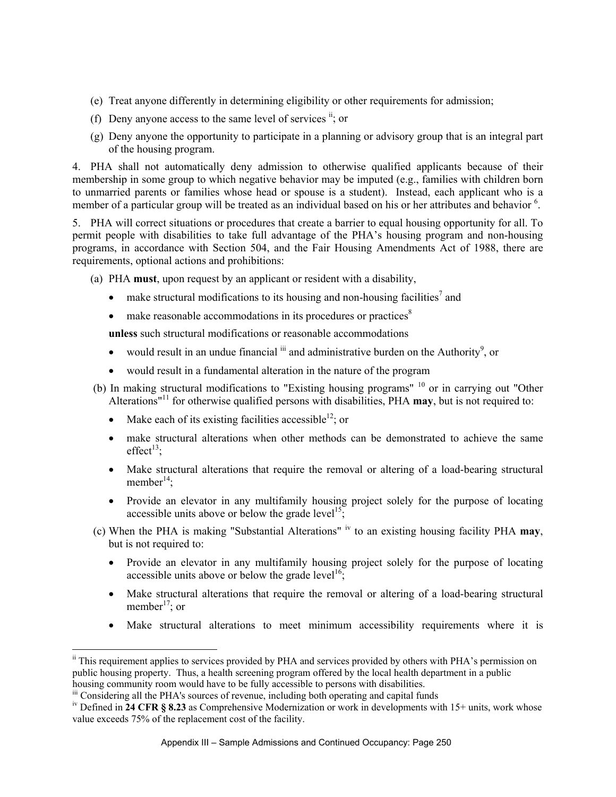- (e) Treat anyone differently in determining eligibility or other requirements for admission;
- (f) Deny anyone access to the same level of services  $\mathbf{u}$ ; or
- (g) Deny anyone the opportunity to participate in a planning or advisory group that is an integral part of the housing program.

4. PHA shall not automatically deny admission to otherwise qualified applicants because of their membership in some group to which negative behavior may be imputed (e.g., families with children born to unmarried parents or families whose head or spouse is a student). Instead, each applicant who is a member of a particular group will be treated as an individual based on his or her attributes and behavior <sup>6</sup>.

5. PHA will correct situations or procedures that create a barrier to equal housing opportunity for all. To permit people with disabilities to take full advantage of the PHA's housing program and non-housing programs, in accordance with Section 504, and the Fair Housing Amendments Act of 1988, there are requirements, optional actions and prohibitions:

- (a) PHA **must**, upon request by an applicant or resident with a disability,
	- make structural modifications to its housing and non-housing facilities<sup>7</sup> and
	- make reasonable accommodations in its procedures or practices $\delta$

**unless** such structural modifications or reasonable accommodations

- would result in an undue financial  $\sin$  and administrative burden on the Authority<sup>9</sup>, or
- would result in a fundamental alteration in the nature of the program
- (b) In making structural modifications to "Existing housing programs" 10 or in carrying out "Other Alterations"11 for otherwise qualified persons with disabilities, PHA **may**, but is not required to:
	- Make each of its existing facilities accessible<sup>12</sup>; or
	- make structural alterations when other methods can be demonstrated to achieve the same effect $^{13}$ :
	- Make structural alterations that require the removal or altering of a load-bearing structural member $^{14}$ :
	- Provide an elevator in any multifamily housing project solely for the purpose of locating accessible units above or below the grade level<sup>15</sup>;
- (c) When the PHA is making "Substantial Alterations" iv to an existing housing facility PHA **may**, but is not required to:
	- Provide an elevator in any multifamily housing project solely for the purpose of locating accessible units above or below the grade level<sup>16</sup>:
	- Make structural alterations that require the removal or altering of a load-bearing structural member<sup>17</sup>; or
	- Make structural alterations to meet minimum accessibility requirements where it is

 $\overline{a}$ 

<sup>&</sup>lt;sup>ii</sup> This requirement applies to services provided by PHA and services provided by others with PHA's permission on public housing property. Thus, a health screening program offered by the local health department in a public housing community room would have to be fully accessible to persons with disabilities.

<sup>&</sup>lt;sup>iii</sup> Considering all the PHA's sources of revenue, including both operating and capital funds

<sup>&</sup>lt;sup>iv</sup> Defined in **24 CFR § 8.23** as Comprehensive Modernization or work in developments with 15+ units, work whose value exceeds 75% of the replacement cost of the facility.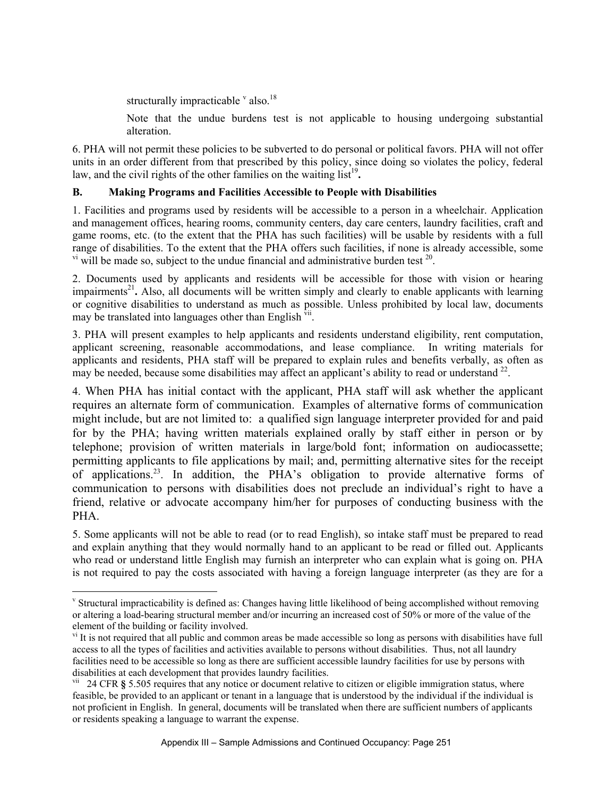structurally impracticable  $\frac{v}{x}$  also.<sup>18</sup>

 $\overline{a}$ 

Note that the undue burdens test is not applicable to housing undergoing substantial alteration.

6. PHA will not permit these policies to be subverted to do personal or political favors. PHA will not offer units in an order different from that prescribed by this policy, since doing so violates the policy, federal law, and the civil rights of the other families on the waiting list<sup>19</sup>.

# **B. Making Programs and Facilities Accessible to People with Disabilities**

1. Facilities and programs used by residents will be accessible to a person in a wheelchair. Application and management offices, hearing rooms, community centers, day care centers, laundry facilities, craft and game rooms, etc. (to the extent that the PHA has such facilities) will be usable by residents with a full range of disabilities. To the extent that the PHA offers such facilities, if none is already accessible, some  $v<sup>i</sup>$  will be made so, subject to the undue financial and administrative burden test  $20$ .

2. Documents used by applicants and residents will be accessible for those with vision or hearing impairments<sup>21</sup>. Also, all documents will be written simply and clearly to enable applicants with learning or cognitive disabilities to understand as much as possible. Unless prohibited by local law, documents may be translated into languages other than English  $\overline{v}$ <sup>ii</sup>.

3. PHA will present examples to help applicants and residents understand eligibility, rent computation, applicant screening, reasonable accommodations, and lease compliance. In writing materials for applicants and residents, PHA staff will be prepared to explain rules and benefits verbally, as often as may be needed, because some disabilities may affect an applicant's ability to read or understand  $^{22}$ .

4. When PHA has initial contact with the applicant, PHA staff will ask whether the applicant requires an alternate form of communication. Examples of alternative forms of communication might include, but are not limited to: a qualified sign language interpreter provided for and paid for by the PHA; having written materials explained orally by staff either in person or by telephone; provision of written materials in large/bold font; information on audiocassette; permitting applicants to file applications by mail; and, permitting alternative sites for the receipt of applications.23. In addition, the PHA's obligation to provide alternative forms of communication to persons with disabilities does not preclude an individual's right to have a friend, relative or advocate accompany him/her for purposes of conducting business with the PHA.

5. Some applicants will not be able to read (or to read English), so intake staff must be prepared to read and explain anything that they would normally hand to an applicant to be read or filled out. Applicants who read or understand little English may furnish an interpreter who can explain what is going on. PHA is not required to pay the costs associated with having a foreign language interpreter (as they are for a

v Structural impracticability is defined as: Changes having little likelihood of being accomplished without removing or altering a load-bearing structural member and/or incurring an increased cost of 50% or more of the value of the element of the building or facility involved.

v<sup>i</sup> It is not required that all public and common areas be made accessible so long as persons with disabilities have full access to all the types of facilities and activities available to persons without disabilities. Thus, not all laundry facilities need to be accessible so long as there are sufficient accessible laundry facilities for use by persons with disabilities at each development that provides laundry facilities.

vii 24 CFR **§** 5.505 requires that any notice or document relative to citizen or eligible immigration status, where feasible, be provided to an applicant or tenant in a language that is understood by the individual if the individual is not proficient in English. In general, documents will be translated when there are sufficient numbers of applicants or residents speaking a language to warrant the expense.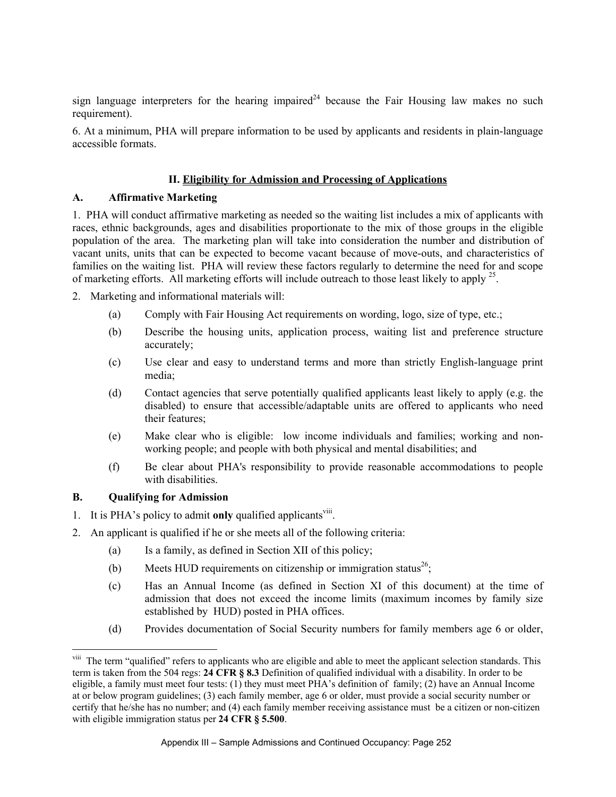sign language interpreters for the hearing impaired<sup>24</sup> because the Fair Housing law makes no such requirement).

6. At a minimum, PHA will prepare information to be used by applicants and residents in plain-language accessible formats.

# **II. Eligibility for Admission and Processing of Applications**

#### **A. Affirmative Marketing**

1. PHA will conduct affirmative marketing as needed so the waiting list includes a mix of applicants with races, ethnic backgrounds, ages and disabilities proportionate to the mix of those groups in the eligible population of the area. The marketing plan will take into consideration the number and distribution of vacant units, units that can be expected to become vacant because of move-outs, and characteristics of families on the waiting list. PHA will review these factors regularly to determine the need for and scope of marketing efforts. All marketing efforts will include outreach to those least likely to apply  $^{25}$ .

- 2. Marketing and informational materials will:
	- (a) Comply with Fair Housing Act requirements on wording, logo, size of type, etc.;
	- (b) Describe the housing units, application process, waiting list and preference structure accurately;
	- (c) Use clear and easy to understand terms and more than strictly English-language print media;
	- (d) Contact agencies that serve potentially qualified applicants least likely to apply (e.g. the disabled) to ensure that accessible/adaptable units are offered to applicants who need their features;
	- (e) Make clear who is eligible: low income individuals and families; working and nonworking people; and people with both physical and mental disabilities; and
	- (f) Be clear about PHA's responsibility to provide reasonable accommodations to people with disabilities.

#### **B. Qualifying for Admission**

 $\overline{a}$ 

- 1. It is PHA's policy to admit **only** qualified applicantsviii.
- 2. An applicant is qualified if he or she meets all of the following criteria:
	- (a) Is a family, as defined in Section XII of this policy;
	- (b) Meets HUD requirements on citizenship or immigration status<sup>26</sup>;
	- (c) Has an Annual Income (as defined in Section XI of this document) at the time of admission that does not exceed the income limits (maximum incomes by family size established by HUD) posted in PHA offices.
	- (d) Provides documentation of Social Security numbers for family members age 6 or older,

<sup>&</sup>lt;sup>viii</sup> The term "qualified" refers to applicants who are eligible and able to meet the applicant selection standards. This term is taken from the 504 regs: **24 CFR § 8.3** Definition of qualified individual with a disability. In order to be eligible, a family must meet four tests: (1) they must meet PHA's definition of family; (2) have an Annual Income at or below program guidelines; (3) each family member, age 6 or older, must provide a social security number or certify that he/she has no number; and (4) each family member receiving assistance must be a citizen or non-citizen with eligible immigration status per **24 CFR § 5.500**.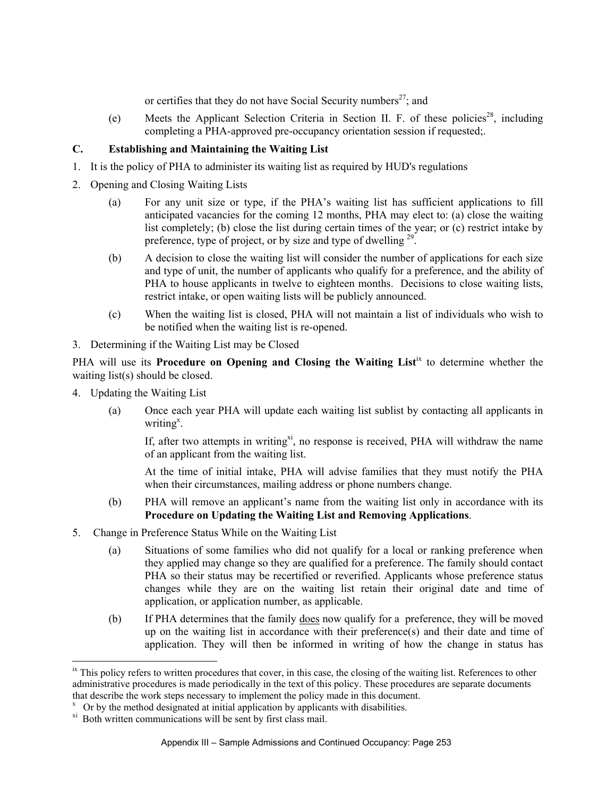or certifies that they do not have Social Security numbers<sup>27</sup>; and

(e) Meets the Applicant Selection Criteria in Section II. F. of these policies<sup>28</sup>, including completing a PHA-approved pre-occupancy orientation session if requested;.

# **C. Establishing and Maintaining the Waiting List**

- 1. It is the policy of PHA to administer its waiting list as required by HUD's regulations
- 2. Opening and Closing Waiting Lists
	- (a) For any unit size or type, if the PHA's waiting list has sufficient applications to fill anticipated vacancies for the coming 12 months, PHA may elect to: (a) close the waiting list completely; (b) close the list during certain times of the year; or (c) restrict intake by preference, type of project, or by size and type of dwelling <sup>29</sup>.
	- (b) A decision to close the waiting list will consider the number of applications for each size and type of unit, the number of applicants who qualify for a preference, and the ability of PHA to house applicants in twelve to eighteen months. Decisions to close waiting lists, restrict intake, or open waiting lists will be publicly announced.
	- (c) When the waiting list is closed, PHA will not maintain a list of individuals who wish to be notified when the waiting list is re-opened.
- 3. Determining if the Waiting List may be Closed

PHA will use its **Procedure on Opening and Closing the Waiting List**<sup>ix</sup> to determine whether the waiting list(s) should be closed.

4. Updating the Waiting List

 $\overline{a}$ 

(a) Once each year PHA will update each waiting list sublist by contacting all applicants in writing<sup>x</sup>.

If, after two attempts in writing  $x_i$ , no response is received. PHA will withdraw the name of an applicant from the waiting list.

At the time of initial intake, PHA will advise families that they must notify the PHA when their circumstances, mailing address or phone numbers change.

- (b) PHA will remove an applicant's name from the waiting list only in accordance with its **Procedure on Updating the Waiting List and Removing Applications**.
- 5. Change in Preference Status While on the Waiting List
	- (a) Situations of some families who did not qualify for a local or ranking preference when they applied may change so they are qualified for a preference. The family should contact PHA so their status may be recertified or reverified. Applicants whose preference status changes while they are on the waiting list retain their original date and time of application, or application number, as applicable.
	- (b) If PHA determines that the family does now qualify for a preference, they will be moved up on the waiting list in accordance with their preference(s) and their date and time of application. They will then be informed in writing of how the change in status has

<sup>&</sup>lt;sup>ix</sup> This policy refers to written procedures that cover, in this case, the closing of the waiting list. References to other administrative procedures is made periodically in the text of this policy. These procedures are separate documents that describe the work steps necessary to implement the policy made in this document.

 $x$  Or by the method designated at initial application by applicants with disabilities.

<sup>&</sup>lt;sup>xi</sup> Both written communications will be sent by first class mail.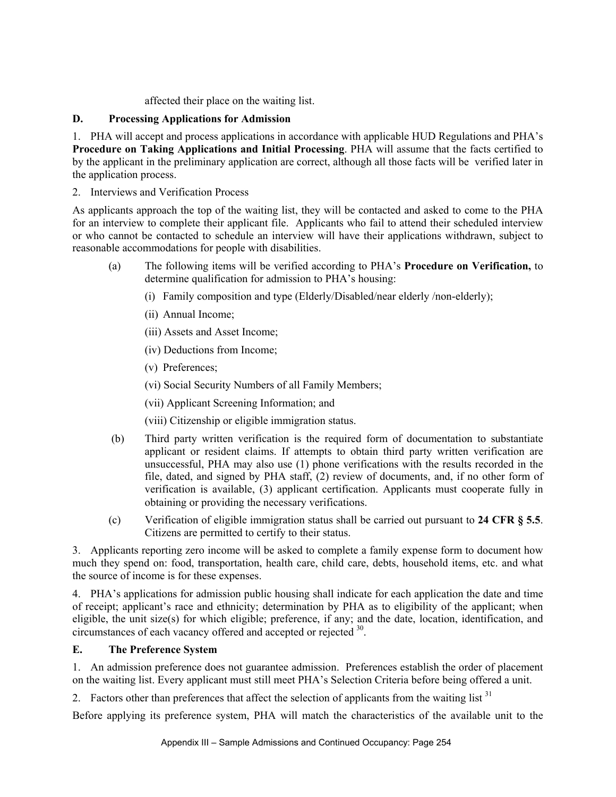# affected their place on the waiting list.

### **D. Processing Applications for Admission**

1. PHA will accept and process applications in accordance with applicable HUD Regulations and PHA's **Procedure on Taking Applications and Initial Processing**. PHA will assume that the facts certified to by the applicant in the preliminary application are correct, although all those facts will be verified later in the application process.

# 2. Interviews and Verification Process

As applicants approach the top of the waiting list, they will be contacted and asked to come to the PHA for an interview to complete their applicant file. Applicants who fail to attend their scheduled interview or who cannot be contacted to schedule an interview will have their applications withdrawn, subject to reasonable accommodations for people with disabilities.

- (a) The following items will be verified according to PHA's **Procedure on Verification,** to determine qualification for admission to PHA's housing:
	- (i) Family composition and type (Elderly/Disabled/near elderly /non-elderly);
	- (ii) Annual Income;
	- (iii) Assets and Asset Income;
	- (iv) Deductions from Income;
	- (v) Preferences;
	- (vi) Social Security Numbers of all Family Members;
	- (vii) Applicant Screening Information; and
	- (viii) Citizenship or eligible immigration status.
- (b) Third party written verification is the required form of documentation to substantiate applicant or resident claims. If attempts to obtain third party written verification are unsuccessful, PHA may also use (1) phone verifications with the results recorded in the file, dated, and signed by PHA staff, (2) review of documents, and, if no other form of verification is available, (3) applicant certification. Applicants must cooperate fully in obtaining or providing the necessary verifications.
- (c) Verification of eligible immigration status shall be carried out pursuant to **24 CFR § 5.5**. Citizens are permitted to certify to their status.

3. Applicants reporting zero income will be asked to complete a family expense form to document how much they spend on: food, transportation, health care, child care, debts, household items, etc. and what the source of income is for these expenses.

4. PHA's applications for admission public housing shall indicate for each application the date and time of receipt; applicant's race and ethnicity; determination by PHA as to eligibility of the applicant; when eligible, the unit size(s) for which eligible; preference, if any; and the date, location, identification, and circumstances of each vacancy offered and accepted or rejected 30.

# **E. The Preference System**

1. An admission preference does not guarantee admission. Preferences establish the order of placement on the waiting list. Every applicant must still meet PHA's Selection Criteria before being offered a unit.

2. Factors other than preferences that affect the selection of applicants from the waiting list  $31$ 

Before applying its preference system, PHA will match the characteristics of the available unit to the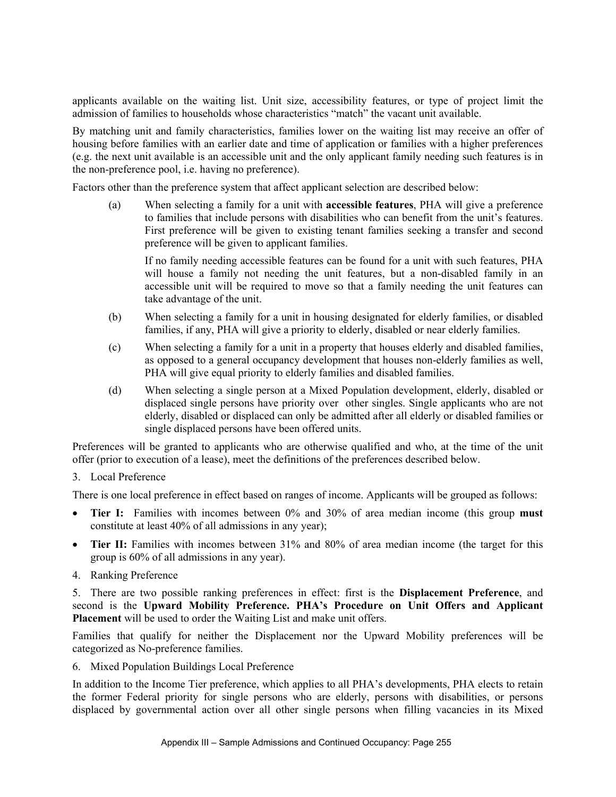applicants available on the waiting list. Unit size, accessibility features, or type of project limit the admission of families to households whose characteristics "match" the vacant unit available.

By matching unit and family characteristics, families lower on the waiting list may receive an offer of housing before families with an earlier date and time of application or families with a higher preferences (e.g. the next unit available is an accessible unit and the only applicant family needing such features is in the non-preference pool, i.e. having no preference).

Factors other than the preference system that affect applicant selection are described below:

(a) When selecting a family for a unit with **accessible features**, PHA will give a preference to families that include persons with disabilities who can benefit from the unit's features. First preference will be given to existing tenant families seeking a transfer and second preference will be given to applicant families.

If no family needing accessible features can be found for a unit with such features, PHA will house a family not needing the unit features, but a non-disabled family in an accessible unit will be required to move so that a family needing the unit features can take advantage of the unit.

- (b) When selecting a family for a unit in housing designated for elderly families, or disabled families, if any, PHA will give a priority to elderly, disabled or near elderly families.
- (c) When selecting a family for a unit in a property that houses elderly and disabled families, as opposed to a general occupancy development that houses non-elderly families as well, PHA will give equal priority to elderly families and disabled families.
- (d) When selecting a single person at a Mixed Population development, elderly, disabled or displaced single persons have priority over other singles. Single applicants who are not elderly, disabled or displaced can only be admitted after all elderly or disabled families or single displaced persons have been offered units.

Preferences will be granted to applicants who are otherwise qualified and who, at the time of the unit offer (prior to execution of a lease), meet the definitions of the preferences described below.

3. Local Preference

There is one local preference in effect based on ranges of income. Applicants will be grouped as follows:

- **Tier I:** Families with incomes between 0% and 30% of area median income (this group **must** constitute at least 40% of all admissions in any year);
- **Tier II:** Families with incomes between 31% and 80% of area median income (the target for this group is 60% of all admissions in any year).
- 4. Ranking Preference

5. There are two possible ranking preferences in effect: first is the **Displacement Preference**, and second is the **Upward Mobility Preference. PHA's Procedure on Unit Offers and Applicant Placement** will be used to order the Waiting List and make unit offers.

Families that qualify for neither the Displacement nor the Upward Mobility preferences will be categorized as No-preference families.

6. Mixed Population Buildings Local Preference

In addition to the Income Tier preference, which applies to all PHA's developments, PHA elects to retain the former Federal priority for single persons who are elderly, persons with disabilities, or persons displaced by governmental action over all other single persons when filling vacancies in its Mixed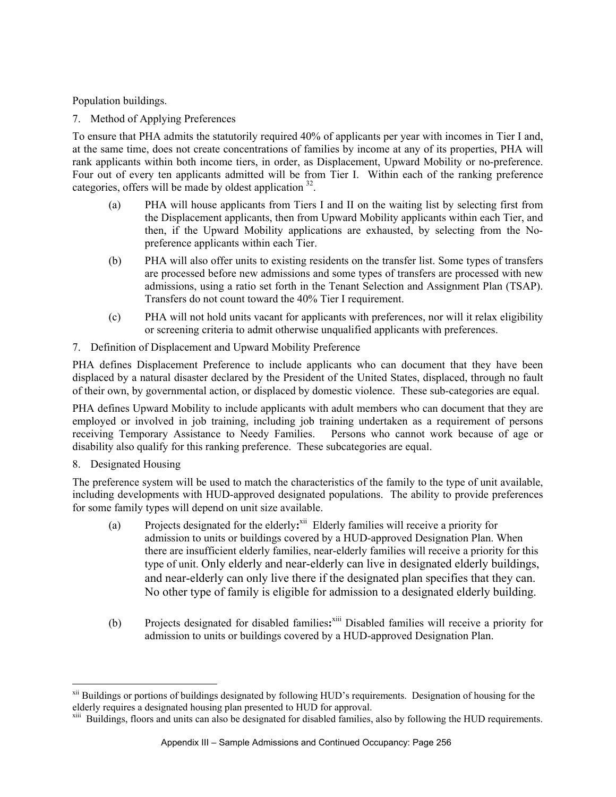Population buildings.

7. Method of Applying Preferences

To ensure that PHA admits the statutorily required 40% of applicants per year with incomes in Tier I and, at the same time, does not create concentrations of families by income at any of its properties, PHA will rank applicants within both income tiers, in order, as Displacement, Upward Mobility or no-preference. Four out of every ten applicants admitted will be from Tier I. Within each of the ranking preference categories, offers will be made by oldest application <sup>32</sup>.

- (a) PHA will house applicants from Tiers I and II on the waiting list by selecting first from the Displacement applicants, then from Upward Mobility applicants within each Tier, and then, if the Upward Mobility applications are exhausted, by selecting from the Nopreference applicants within each Tier.
- (b) PHA will also offer units to existing residents on the transfer list. Some types of transfers are processed before new admissions and some types of transfers are processed with new admissions, using a ratio set forth in the Tenant Selection and Assignment Plan (TSAP). Transfers do not count toward the 40% Tier I requirement.
- (c) PHA will not hold units vacant for applicants with preferences, nor will it relax eligibility or screening criteria to admit otherwise unqualified applicants with preferences.
- 7. Definition of Displacement and Upward Mobility Preference

PHA defines Displacement Preference to include applicants who can document that they have been displaced by a natural disaster declared by the President of the United States, displaced, through no fault of their own, by governmental action, or displaced by domestic violence. These sub-categories are equal.

PHA defines Upward Mobility to include applicants with adult members who can document that they are employed or involved in job training, including job training undertaken as a requirement of persons receiving Temporary Assistance to Needy Families. Persons who cannot work because of age or disability also qualify for this ranking preference. These subcategories are equal.

8. Designated Housing

 $\overline{a}$ 

The preference system will be used to match the characteristics of the family to the type of unit available, including developments with HUD-approved designated populations. The ability to provide preferences for some family types will depend on unit size available.

- (a) Projects designated for the elderly**:** xii Elderly families will receive a priority for admission to units or buildings covered by a HUD-approved Designation Plan. When there are insufficient elderly families, near-elderly families will receive a priority for this type of unit. Only elderly and near-elderly can live in designated elderly buildings, and near-elderly can only live there if the designated plan specifies that they can. No other type of family is eligible for admission to a designated elderly building.
- (b) Projects designated for disabled families**:** xiii Disabled families will receive a priority for admission to units or buildings covered by a HUD-approved Designation Plan.

<sup>&</sup>lt;sup>xii</sup> Buildings or portions of buildings designated by following HUD's requirements. Designation of housing for the elderly requires a designated housing plan presented to HUD for approval.

<sup>&</sup>lt;sup>xiii</sup> Buildings, floors and units can also be designated for disabled families, also by following the HUD requirements.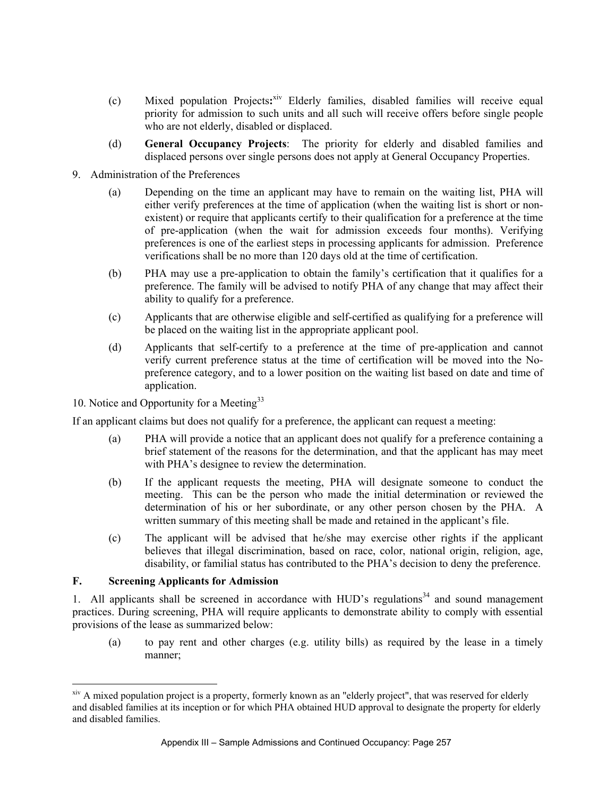- (c) Mixed population Projects**:** xiv Elderly families, disabled families will receive equal priority for admission to such units and all such will receive offers before single people who are not elderly, disabled or displaced.
- (d) **General Occupancy Projects**: The priority for elderly and disabled families and displaced persons over single persons does not apply at General Occupancy Properties.
- 9. Administration of the Preferences
	- (a) Depending on the time an applicant may have to remain on the waiting list, PHA will either verify preferences at the time of application (when the waiting list is short or nonexistent) or require that applicants certify to their qualification for a preference at the time of pre-application (when the wait for admission exceeds four months). Verifying preferences is one of the earliest steps in processing applicants for admission. Preference verifications shall be no more than 120 days old at the time of certification.
	- (b) PHA may use a pre-application to obtain the family's certification that it qualifies for a preference. The family will be advised to notify PHA of any change that may affect their ability to qualify for a preference.
	- (c) Applicants that are otherwise eligible and self-certified as qualifying for a preference will be placed on the waiting list in the appropriate applicant pool.
	- (d) Applicants that self-certify to a preference at the time of pre-application and cannot verify current preference status at the time of certification will be moved into the Nopreference category, and to a lower position on the waiting list based on date and time of application.

#### 10. Notice and Opportunity for a Meeting<sup>33</sup>

If an applicant claims but does not qualify for a preference, the applicant can request a meeting:

- (a) PHA will provide a notice that an applicant does not qualify for a preference containing a brief statement of the reasons for the determination, and that the applicant has may meet with PHA's designee to review the determination.
- (b) If the applicant requests the meeting, PHA will designate someone to conduct the meeting. This can be the person who made the initial determination or reviewed the determination of his or her subordinate, or any other person chosen by the PHA. A written summary of this meeting shall be made and retained in the applicant's file.
- (c) The applicant will be advised that he/she may exercise other rights if the applicant believes that illegal discrimination, based on race, color, national origin, religion, age, disability, or familial status has contributed to the PHA's decision to deny the preference.

#### **F. Screening Applicants for Admission**

 $\overline{a}$ 

1. All applicants shall be screened in accordance with HUD's regulations<sup>34</sup> and sound management practices. During screening, PHA will require applicants to demonstrate ability to comply with essential provisions of the lease as summarized below:

(a) to pay rent and other charges (e.g. utility bills) as required by the lease in a timely manner;

<sup>&</sup>lt;sup>xiv</sup> A mixed population project is a property, formerly known as an "elderly project", that was reserved for elderly and disabled families at its inception or for which PHA obtained HUD approval to designate the property for elderly and disabled families.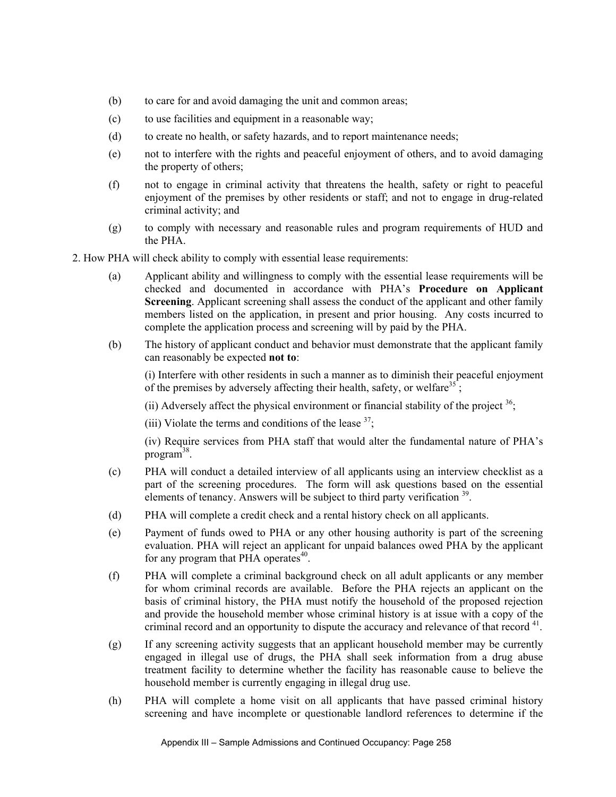- (b) to care for and avoid damaging the unit and common areas;
- (c) to use facilities and equipment in a reasonable way;
- (d) to create no health, or safety hazards, and to report maintenance needs;
- (e) not to interfere with the rights and peaceful enjoyment of others, and to avoid damaging the property of others;
- (f) not to engage in criminal activity that threatens the health, safety or right to peaceful enjoyment of the premises by other residents or staff; and not to engage in drug-related criminal activity; and
- (g) to comply with necessary and reasonable rules and program requirements of HUD and the PHA.

2. How PHA will check ability to comply with essential lease requirements:

- (a) Applicant ability and willingness to comply with the essential lease requirements will be checked and documented in accordance with PHA's **Procedure on Applicant Screening**. Applicant screening shall assess the conduct of the applicant and other family members listed on the application, in present and prior housing. Any costs incurred to complete the application process and screening will by paid by the PHA.
- (b) The history of applicant conduct and behavior must demonstrate that the applicant family can reasonably be expected **not to**:

(i) Interfere with other residents in such a manner as to diminish their peaceful enjoyment of the premises by adversely affecting their health, safety, or welfare<sup>35</sup>;

(ii) Adversely affect the physical environment or financial stability of the project  $36$ ;

(iii) Violate the terms and conditions of the lease  $37$ ;

(iv) Require services from PHA staff that would alter the fundamental nature of PHA's program<sup>38</sup>.

- (c) PHA will conduct a detailed interview of all applicants using an interview checklist as a part of the screening procedures. The form will ask questions based on the essential elements of tenancy. Answers will be subject to third party verification <sup>39</sup>.
- (d) PHA will complete a credit check and a rental history check on all applicants.
- (e) Payment of funds owed to PHA or any other housing authority is part of the screening evaluation. PHA will reject an applicant for unpaid balances owed PHA by the applicant for any program that PHA operates $40$ .
- (f) PHA will complete a criminal background check on all adult applicants or any member for whom criminal records are available. Before the PHA rejects an applicant on the basis of criminal history, the PHA must notify the household of the proposed rejection and provide the household member whose criminal history is at issue with a copy of the criminal record and an opportunity to dispute the accuracy and relevance of that record  $^{41}$ .
- (g) If any screening activity suggests that an applicant household member may be currently engaged in illegal use of drugs, the PHA shall seek information from a drug abuse treatment facility to determine whether the facility has reasonable cause to believe the household member is currently engaging in illegal drug use.
- (h) PHA will complete a home visit on all applicants that have passed criminal history screening and have incomplete or questionable landlord references to determine if the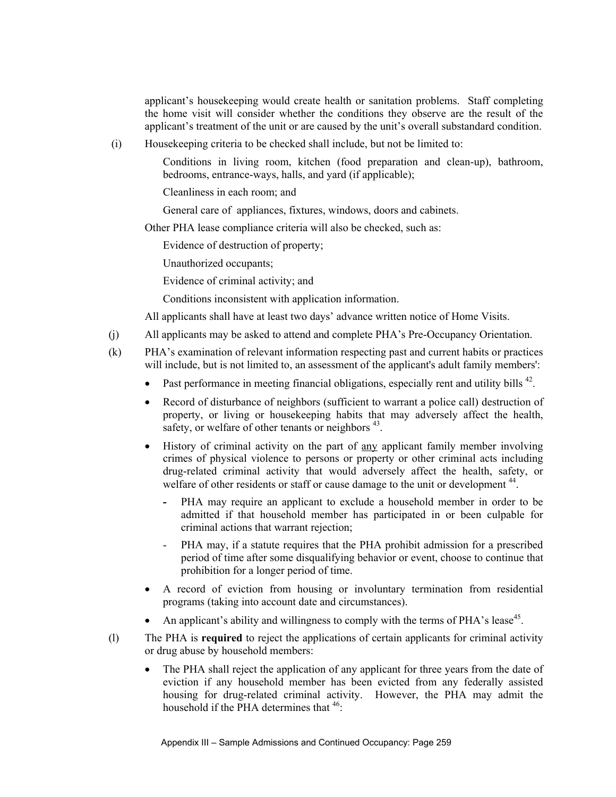applicant's housekeeping would create health or sanitation problems. Staff completing the home visit will consider whether the conditions they observe are the result of the applicant's treatment of the unit or are caused by the unit's overall substandard condition.

(i) Housekeeping criteria to be checked shall include, but not be limited to:

Conditions in living room, kitchen (food preparation and clean-up), bathroom, bedrooms, entrance-ways, halls, and yard (if applicable);

Cleanliness in each room; and

General care of appliances, fixtures, windows, doors and cabinets.

Other PHA lease compliance criteria will also be checked, such as:

Evidence of destruction of property;

Unauthorized occupants;

Evidence of criminal activity; and

Conditions inconsistent with application information.

All applicants shall have at least two days' advance written notice of Home Visits.

- (j) All applicants may be asked to attend and complete PHA's Pre-Occupancy Orientation.
- (k) PHA's examination of relevant information respecting past and current habits or practices will include, but is not limited to, an assessment of the applicant's adult family members':
	- Past performance in meeting financial obligations, especially rent and utility bills <sup>42</sup>.
	- Record of disturbance of neighbors (sufficient to warrant a police call) destruction of property, or living or housekeeping habits that may adversely affect the health, safety, or welfare of other tenants or neighbors <sup>43</sup>.
	- History of criminal activity on the part of any applicant family member involving crimes of physical violence to persons or property or other criminal acts including drug-related criminal activity that would adversely affect the health, safety, or welfare of other residents or staff or cause damage to the unit or development <sup>44</sup>.
		- PHA may require an applicant to exclude a household member in order to be admitted if that household member has participated in or been culpable for criminal actions that warrant rejection;
		- PHA may, if a statute requires that the PHA prohibit admission for a prescribed period of time after some disqualifying behavior or event, choose to continue that prohibition for a longer period of time.
	- A record of eviction from housing or involuntary termination from residential programs (taking into account date and circumstances).
	- An applicant's ability and willingness to comply with the terms of PHA's lease<sup>45</sup>.
- (l) The PHA is **required** to reject the applications of certain applicants for criminal activity or drug abuse by household members:
	- The PHA shall reject the application of any applicant for three years from the date of eviction if any household member has been evicted from any federally assisted housing for drug-related criminal activity. However, the PHA may admit the household if the PHA determines that  $46$ :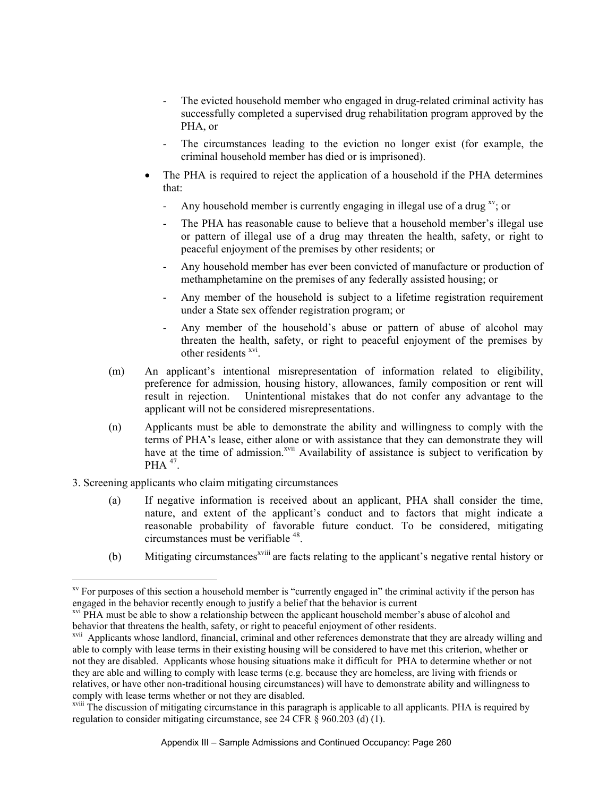- The evicted household member who engaged in drug-related criminal activity has successfully completed a supervised drug rehabilitation program approved by the PHA, or
- The circumstances leading to the eviction no longer exist (for example, the criminal household member has died or is imprisoned).
- The PHA is required to reject the application of a household if the PHA determines that:
	- Any household member is currently engaging in illegal use of a drug  $x<sub>y</sub>$ ; or
	- The PHA has reasonable cause to believe that a household member's illegal use or pattern of illegal use of a drug may threaten the health, safety, or right to peaceful enjoyment of the premises by other residents; or
	- Any household member has ever been convicted of manufacture or production of methamphetamine on the premises of any federally assisted housing; or
	- Any member of the household is subject to a lifetime registration requirement under a State sex offender registration program; or
	- Any member of the household's abuse or pattern of abuse of alcohol may threaten the health, safety, or right to peaceful enjoyment of the premises by other residents <sup>xvi</sup>.
- (m) An applicant's intentional misrepresentation of information related to eligibility, preference for admission, housing history, allowances, family composition or rent will result in rejection. Unintentional mistakes that do not confer any advantage to the applicant will not be considered misrepresentations.
- (n) Applicants must be able to demonstrate the ability and willingness to comply with the terms of PHA's lease, either alone or with assistance that they can demonstrate they will have at the time of admission.<sup>xvii</sup> Availability of assistance is subject to verification by  $PHA$ <sup>47</sup>
- 3. Screening applicants who claim mitigating circumstances

 $\overline{a}$ 

- (a) If negative information is received about an applicant, PHA shall consider the time, nature, and extent of the applicant's conduct and to factors that might indicate a reasonable probability of favorable future conduct. To be considered, mitigating circumstances must be verifiable 48.
- (b) Mitigating circumstances<sup>xviii</sup> are facts relating to the applicant's negative rental history or

xv For purposes of this section a household member is "currently engaged in" the criminal activity if the person has engaged in the behavior recently enough to justify a belief that the behavior is current

<sup>&</sup>lt;sup>xvi</sup> PHA must be able to show a relationship between the applicant household member's abuse of alcohol and behavior that threatens the health, safety, or right to peaceful enjoyment of other residents.

xvii Applicants whose landlord, financial, criminal and other references demonstrate that they are already willing and able to comply with lease terms in their existing housing will be considered to have met this criterion, whether or not they are disabled. Applicants whose housing situations make it difficult for PHA to determine whether or not they are able and willing to comply with lease terms (e.g. because they are homeless, are living with friends or relatives, or have other non-traditional housing circumstances) will have to demonstrate ability and willingness to comply with lease terms whether or not they are disabled.

xviii The discussion of mitigating circumstance in this paragraph is applicable to all applicants. PHA is required by regulation to consider mitigating circumstance, see 24 CFR § 960.203 (d) (1).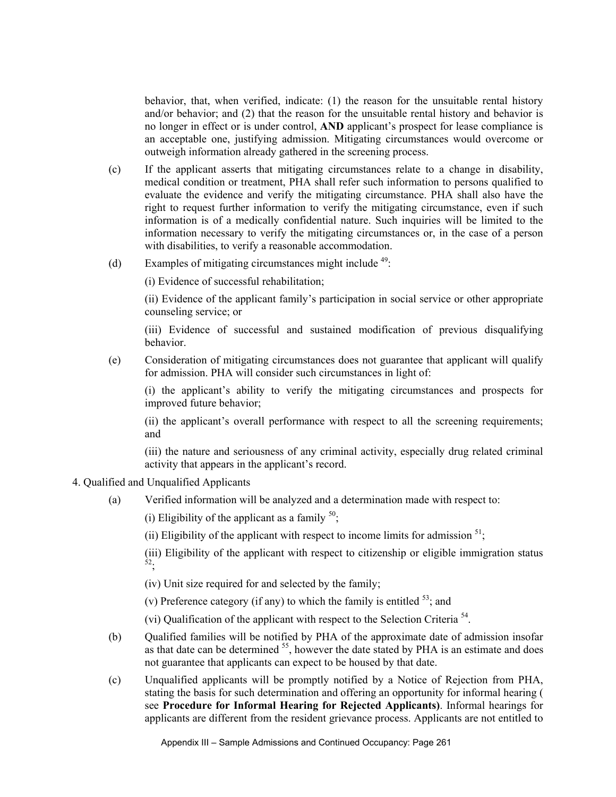behavior, that, when verified, indicate: (1) the reason for the unsuitable rental history and/or behavior; and (2) that the reason for the unsuitable rental history and behavior is no longer in effect or is under control, **AND** applicant's prospect for lease compliance is an acceptable one, justifying admission. Mitigating circumstances would overcome or outweigh information already gathered in the screening process.

- (c) If the applicant asserts that mitigating circumstances relate to a change in disability, medical condition or treatment, PHA shall refer such information to persons qualified to evaluate the evidence and verify the mitigating circumstance. PHA shall also have the right to request further information to verify the mitigating circumstance, even if such information is of a medically confidential nature. Such inquiries will be limited to the information necessary to verify the mitigating circumstances or, in the case of a person with disabilities, to verify a reasonable accommodation.
- (d) Examples of mitigating circumstances might include  $49$ :

(i) Evidence of successful rehabilitation;

(ii) Evidence of the applicant family's participation in social service or other appropriate counseling service; or

(iii) Evidence of successful and sustained modification of previous disqualifying behavior.

(e) Consideration of mitigating circumstances does not guarantee that applicant will qualify for admission. PHA will consider such circumstances in light of:

(i) the applicant's ability to verify the mitigating circumstances and prospects for improved future behavior;

(ii) the applicant's overall performance with respect to all the screening requirements; and

(iii) the nature and seriousness of any criminal activity, especially drug related criminal activity that appears in the applicant's record.

- 4. Qualified and Unqualified Applicants
	- (a) Verified information will be analyzed and a determination made with respect to:

(i) Eligibility of the applicant as a family  $50$ ;

(ii) Eligibility of the applicant with respect to income limits for admission  $51$ ;

(iii) Eligibility of the applicant with respect to citizenship or eligible immigration status 52;

(iv) Unit size required for and selected by the family;

(v) Preference category (if any) to which the family is entitled  $53$ ; and

(vi) Qualification of the applicant with respect to the Selection Criteria 54.

- (b) Qualified families will be notified by PHA of the approximate date of admission insofar as that date can be determined  $55$ , however the date stated by PHA is an estimate and does not guarantee that applicants can expect to be housed by that date.
- (c) Unqualified applicants will be promptly notified by a Notice of Rejection from PHA, stating the basis for such determination and offering an opportunity for informal hearing ( see **Procedure for Informal Hearing for Rejected Applicants)**. Informal hearings for applicants are different from the resident grievance process. Applicants are not entitled to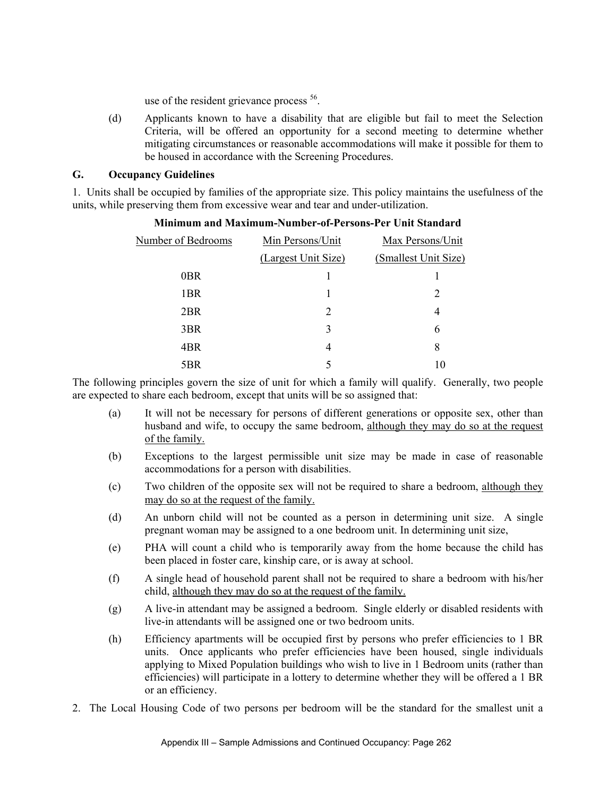use of the resident grievance process  $56$ .

(d) Applicants known to have a disability that are eligible but fail to meet the Selection Criteria, will be offered an opportunity for a second meeting to determine whether mitigating circumstances or reasonable accommodations will make it possible for them to be housed in accordance with the Screening Procedures.

#### **G. Occupancy Guidelines**

1. Units shall be occupied by families of the appropriate size. This policy maintains the usefulness of the units, while preserving them from excessive wear and tear and under-utilization.

| Number of Bedrooms | Min Persons/Unit    | Max Persons/Unit     |  |
|--------------------|---------------------|----------------------|--|
|                    | (Largest Unit Size) | (Smallest Unit Size) |  |
| 0 <sub>BR</sub>    |                     |                      |  |
| 1BR                |                     | $\overline{2}$       |  |
| 2BR                | 2                   | 4                    |  |
| 3BR                | 3                   | 6                    |  |
| 4BR                | 4                   | 8                    |  |
| 5BR                |                     | 10                   |  |

### **Minimum and Maximum-Number-of-Persons-Per Unit Standard**

The following principles govern the size of unit for which a family will qualify. Generally, two people are expected to share each bedroom, except that units will be so assigned that:

- (a) It will not be necessary for persons of different generations or opposite sex, other than husband and wife, to occupy the same bedroom, although they may do so at the request of the family.
- (b) Exceptions to the largest permissible unit size may be made in case of reasonable accommodations for a person with disabilities.
- (c) Two children of the opposite sex will not be required to share a bedroom, although they may do so at the request of the family.
- (d) An unborn child will not be counted as a person in determining unit size. A single pregnant woman may be assigned to a one bedroom unit. In determining unit size,
- (e) PHA will count a child who is temporarily away from the home because the child has been placed in foster care, kinship care, or is away at school.
- (f) A single head of household parent shall not be required to share a bedroom with his/her child, although they may do so at the request of the family.
- (g) A live-in attendant may be assigned a bedroom. Single elderly or disabled residents with live-in attendants will be assigned one or two bedroom units.
- (h) Efficiency apartments will be occupied first by persons who prefer efficiencies to 1 BR units. Once applicants who prefer efficiencies have been housed, single individuals applying to Mixed Population buildings who wish to live in 1 Bedroom units (rather than efficiencies) will participate in a lottery to determine whether they will be offered a 1 BR or an efficiency.
- 2. The Local Housing Code of two persons per bedroom will be the standard for the smallest unit a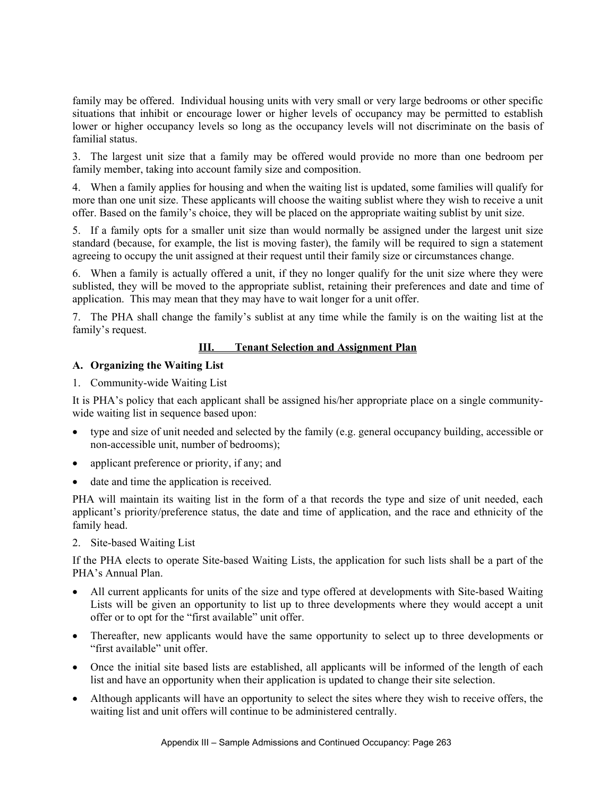family may be offered. Individual housing units with very small or very large bedrooms or other specific situations that inhibit or encourage lower or higher levels of occupancy may be permitted to establish lower or higher occupancy levels so long as the occupancy levels will not discriminate on the basis of familial status.

3. The largest unit size that a family may be offered would provide no more than one bedroom per family member, taking into account family size and composition.

4. When a family applies for housing and when the waiting list is updated, some families will qualify for more than one unit size. These applicants will choose the waiting sublist where they wish to receive a unit offer. Based on the family's choice, they will be placed on the appropriate waiting sublist by unit size.

5. If a family opts for a smaller unit size than would normally be assigned under the largest unit size standard (because, for example, the list is moving faster), the family will be required to sign a statement agreeing to occupy the unit assigned at their request until their family size or circumstances change.

6. When a family is actually offered a unit, if they no longer qualify for the unit size where they were sublisted, they will be moved to the appropriate sublist, retaining their preferences and date and time of application. This may mean that they may have to wait longer for a unit offer.

7. The PHA shall change the family's sublist at any time while the family is on the waiting list at the family's request.

# **III. Tenant Selection and Assignment Plan**

### **A. Organizing the Waiting List**

1. Community-wide Waiting List

It is PHA's policy that each applicant shall be assigned his/her appropriate place on a single communitywide waiting list in sequence based upon:

- type and size of unit needed and selected by the family (e.g. general occupancy building, accessible or non-accessible unit, number of bedrooms);
- applicant preference or priority, if any; and
- date and time the application is received.

PHA will maintain its waiting list in the form of a that records the type and size of unit needed, each applicant's priority/preference status, the date and time of application, and the race and ethnicity of the family head.

2. Site-based Waiting List

If the PHA elects to operate Site-based Waiting Lists, the application for such lists shall be a part of the PHA's Annual Plan.

- All current applicants for units of the size and type offered at developments with Site-based Waiting Lists will be given an opportunity to list up to three developments where they would accept a unit offer or to opt for the "first available" unit offer.
- Thereafter, new applicants would have the same opportunity to select up to three developments or "first available" unit offer.
- Once the initial site based lists are established, all applicants will be informed of the length of each list and have an opportunity when their application is updated to change their site selection.
- Although applicants will have an opportunity to select the sites where they wish to receive offers, the waiting list and unit offers will continue to be administered centrally.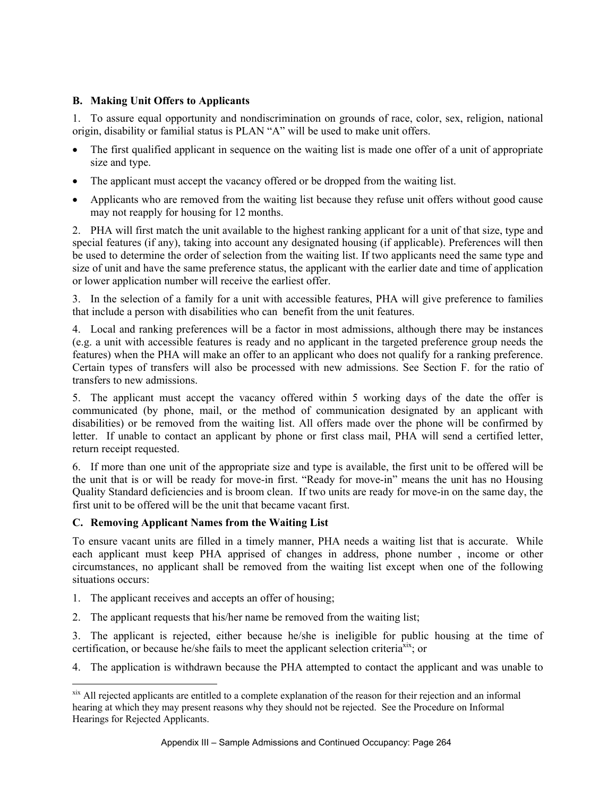# **B. Making Unit Offers to Applicants**

1. To assure equal opportunity and nondiscrimination on grounds of race, color, sex, religion, national origin, disability or familial status is PLAN "A" will be used to make unit offers.

- The first qualified applicant in sequence on the waiting list is made one offer of a unit of appropriate size and type.
- The applicant must accept the vacancy offered or be dropped from the waiting list.
- Applicants who are removed from the waiting list because they refuse unit offers without good cause may not reapply for housing for 12 months.

2. PHA will first match the unit available to the highest ranking applicant for a unit of that size, type and special features (if any), taking into account any designated housing (if applicable). Preferences will then be used to determine the order of selection from the waiting list. If two applicants need the same type and size of unit and have the same preference status, the applicant with the earlier date and time of application or lower application number will receive the earliest offer.

3. In the selection of a family for a unit with accessible features, PHA will give preference to families that include a person with disabilities who can benefit from the unit features.

4. Local and ranking preferences will be a factor in most admissions, although there may be instances (e.g. a unit with accessible features is ready and no applicant in the targeted preference group needs the features) when the PHA will make an offer to an applicant who does not qualify for a ranking preference. Certain types of transfers will also be processed with new admissions. See Section F. for the ratio of transfers to new admissions.

5. The applicant must accept the vacancy offered within 5 working days of the date the offer is communicated (by phone, mail, or the method of communication designated by an applicant with disabilities) or be removed from the waiting list. All offers made over the phone will be confirmed by letter. If unable to contact an applicant by phone or first class mail, PHA will send a certified letter, return receipt requested.

6. If more than one unit of the appropriate size and type is available, the first unit to be offered will be the unit that is or will be ready for move-in first. "Ready for move-in" means the unit has no Housing Quality Standard deficiencies and is broom clean. If two units are ready for move-in on the same day, the first unit to be offered will be the unit that became vacant first.

#### **C. Removing Applicant Names from the Waiting List**

To ensure vacant units are filled in a timely manner, PHA needs a waiting list that is accurate. While each applicant must keep PHA apprised of changes in address, phone number , income or other circumstances, no applicant shall be removed from the waiting list except when one of the following situations occurs:

1. The applicant receives and accepts an offer of housing;

 $\overline{a}$ 

2. The applicant requests that his/her name be removed from the waiting list;

3. The applicant is rejected, either because he/she is ineligible for public housing at the time of certification, or because he/she fails to meet the applicant selection criteria $\tilde{x}$ <sup>xix</sup>; or

4. The application is withdrawn because the PHA attempted to contact the applicant and was unable to

xix All rejected applicants are entitled to a complete explanation of the reason for their rejection and an informal hearing at which they may present reasons why they should not be rejected. See the Procedure on Informal Hearings for Rejected Applicants.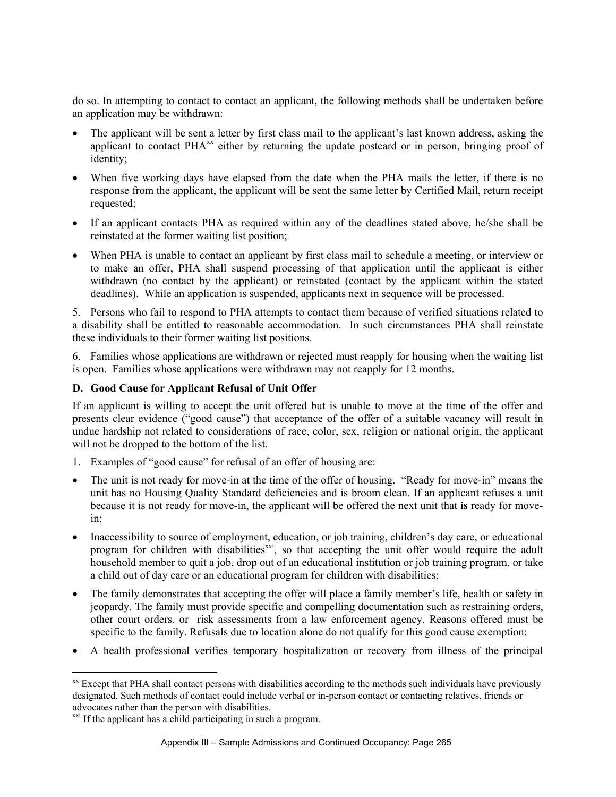do so. In attempting to contact to contact an applicant, the following methods shall be undertaken before an application may be withdrawn:

- The applicant will be sent a letter by first class mail to the applicant's last known address, asking the applicant to contact  $PHA^{xx}$  either by returning the update postcard or in person, bringing proof of identity;
- When five working days have elapsed from the date when the PHA mails the letter, if there is no response from the applicant, the applicant will be sent the same letter by Certified Mail, return receipt requested;
- If an applicant contacts PHA as required within any of the deadlines stated above, he/she shall be reinstated at the former waiting list position;
- When PHA is unable to contact an applicant by first class mail to schedule a meeting, or interview or to make an offer, PHA shall suspend processing of that application until the applicant is either withdrawn (no contact by the applicant) or reinstated (contact by the applicant within the stated deadlines). While an application is suspended, applicants next in sequence will be processed.

5. Persons who fail to respond to PHA attempts to contact them because of verified situations related to a disability shall be entitled to reasonable accommodation. In such circumstances PHA shall reinstate these individuals to their former waiting list positions.

6. Families whose applications are withdrawn or rejected must reapply for housing when the waiting list is open. Families whose applications were withdrawn may not reapply for 12 months.

### **D. Good Cause for Applicant Refusal of Unit Offer**

If an applicant is willing to accept the unit offered but is unable to move at the time of the offer and presents clear evidence ("good cause") that acceptance of the offer of a suitable vacancy will result in undue hardship not related to considerations of race, color, sex, religion or national origin, the applicant will not be dropped to the bottom of the list.

- 1. Examples of "good cause" for refusal of an offer of housing are:
- The unit is not ready for move-in at the time of the offer of housing. "Ready for move-in" means the unit has no Housing Quality Standard deficiencies and is broom clean. If an applicant refuses a unit because it is not ready for move-in, the applicant will be offered the next unit that **is** ready for movein;
- Inaccessibility to source of employment, education, or job training, children's day care, or educational program for children with disabilities<sup>xxi</sup>, so that accepting the unit offer would require the adult household member to quit a job, drop out of an educational institution or job training program, or take a child out of day care or an educational program for children with disabilities;
- The family demonstrates that accepting the offer will place a family member's life, health or safety in jeopardy. The family must provide specific and compelling documentation such as restraining orders, other court orders, or risk assessments from a law enforcement agency. Reasons offered must be specific to the family. Refusals due to location alone do not qualify for this good cause exemption;
- A health professional verifies temporary hospitalization or recovery from illness of the principal

 $\overline{a}$ <sup>xx</sup> Except that PHA shall contact persons with disabilities according to the methods such individuals have previously designated. Such methods of contact could include verbal or in-person contact or contacting relatives, friends or advocates rather than the person with disabilities.

<sup>&</sup>lt;sup>xxi</sup> If the applicant has a child participating in such a program.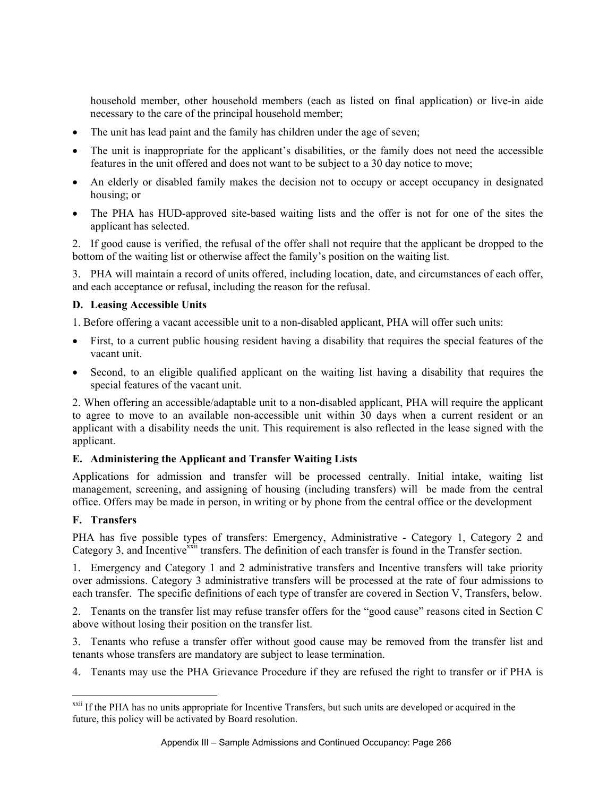household member, other household members (each as listed on final application) or live-in aide necessary to the care of the principal household member;

- The unit has lead paint and the family has children under the age of seven;
- The unit is inappropriate for the applicant's disabilities, or the family does not need the accessible features in the unit offered and does not want to be subject to a 30 day notice to move;
- An elderly or disabled family makes the decision not to occupy or accept occupancy in designated housing; or
- The PHA has HUD-approved site-based waiting lists and the offer is not for one of the sites the applicant has selected.

2. If good cause is verified, the refusal of the offer shall not require that the applicant be dropped to the bottom of the waiting list or otherwise affect the family's position on the waiting list.

3. PHA will maintain a record of units offered, including location, date, and circumstances of each offer, and each acceptance or refusal, including the reason for the refusal.

### **D. Leasing Accessible Units**

1. Before offering a vacant accessible unit to a non-disabled applicant, PHA will offer such units:

- First, to a current public housing resident having a disability that requires the special features of the vacant unit.
- Second, to an eligible qualified applicant on the waiting list having a disability that requires the special features of the vacant unit.

2. When offering an accessible/adaptable unit to a non-disabled applicant, PHA will require the applicant to agree to move to an available non-accessible unit within 30 days when a current resident or an applicant with a disability needs the unit. This requirement is also reflected in the lease signed with the applicant.

# **E. Administering the Applicant and Transfer Waiting Lists**

Applications for admission and transfer will be processed centrally. Initial intake, waiting list management, screening, and assigning of housing (including transfers) will be made from the central office. Offers may be made in person, in writing or by phone from the central office or the development

# **F. Transfers**

 $\overline{a}$ 

PHA has five possible types of transfers: Emergency, Administrative - Category 1, Category 2 and Category 3, and Incentive<sup>xxii</sup> transfers. The definition of each transfer is found in the Transfer section.

1. Emergency and Category 1 and 2 administrative transfers and Incentive transfers will take priority over admissions. Category 3 administrative transfers will be processed at the rate of four admissions to each transfer. The specific definitions of each type of transfer are covered in Section V, Transfers, below.

2. Tenants on the transfer list may refuse transfer offers for the "good cause" reasons cited in Section C above without losing their position on the transfer list.

3. Tenants who refuse a transfer offer without good cause may be removed from the transfer list and tenants whose transfers are mandatory are subject to lease termination.

4. Tenants may use the PHA Grievance Procedure if they are refused the right to transfer or if PHA is

<sup>&</sup>lt;sup>xxii</sup> If the PHA has no units appropriate for Incentive Transfers, but such units are developed or acquired in the future, this policy will be activated by Board resolution.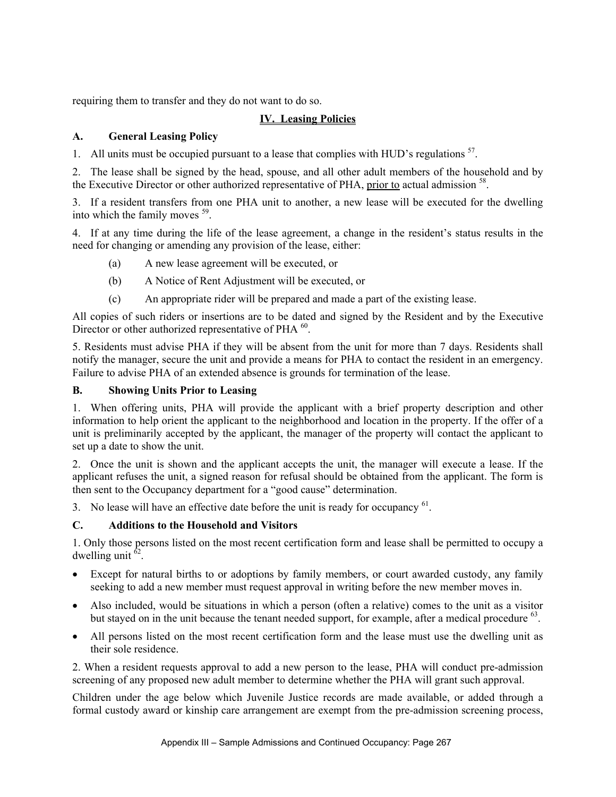requiring them to transfer and they do not want to do so.

# **IV. Leasing Policies**

# **A. General Leasing Policy**

1. All units must be occupied pursuant to a lease that complies with HUD's regulations  $^{57}$ .

2. The lease shall be signed by the head, spouse, and all other adult members of the household and by the Executive Director or other authorized representative of PHA, prior to actual admission <sup>58</sup>.

3. If a resident transfers from one PHA unit to another, a new lease will be executed for the dwelling into which the family moves 59.

4. If at any time during the life of the lease agreement, a change in the resident's status results in the need for changing or amending any provision of the lease, either:

- (a) A new lease agreement will be executed, or
- (b) A Notice of Rent Adjustment will be executed, or
- (c) An appropriate rider will be prepared and made a part of the existing lease.

All copies of such riders or insertions are to be dated and signed by the Resident and by the Executive Director or other authorized representative of PHA <sup>60</sup>.

5. Residents must advise PHA if they will be absent from the unit for more than 7 days. Residents shall notify the manager, secure the unit and provide a means for PHA to contact the resident in an emergency. Failure to advise PHA of an extended absence is grounds for termination of the lease.

### **B. Showing Units Prior to Leasing**

1. When offering units, PHA will provide the applicant with a brief property description and other information to help orient the applicant to the neighborhood and location in the property. If the offer of a unit is preliminarily accepted by the applicant, the manager of the property will contact the applicant to set up a date to show the unit.

2. Once the unit is shown and the applicant accepts the unit, the manager will execute a lease. If the applicant refuses the unit, a signed reason for refusal should be obtained from the applicant. The form is then sent to the Occupancy department for a "good cause" determination.

3. No lease will have an effective date before the unit is ready for occupancy <sup>61</sup>.

# **C. Additions to the Household and Visitors**

1. Only those persons listed on the most recent certification form and lease shall be permitted to occupy a dwelling unit  $62$ .

- Except for natural births to or adoptions by family members, or court awarded custody, any family seeking to add a new member must request approval in writing before the new member moves in.
- Also included, would be situations in which a person (often a relative) comes to the unit as a visitor but stayed on in the unit because the tenant needed support, for example, after a medical procedure  $^{63}$ .
- All persons listed on the most recent certification form and the lease must use the dwelling unit as their sole residence.

2. When a resident requests approval to add a new person to the lease, PHA will conduct pre-admission screening of any proposed new adult member to determine whether the PHA will grant such approval.

Children under the age below which Juvenile Justice records are made available, or added through a formal custody award or kinship care arrangement are exempt from the pre-admission screening process,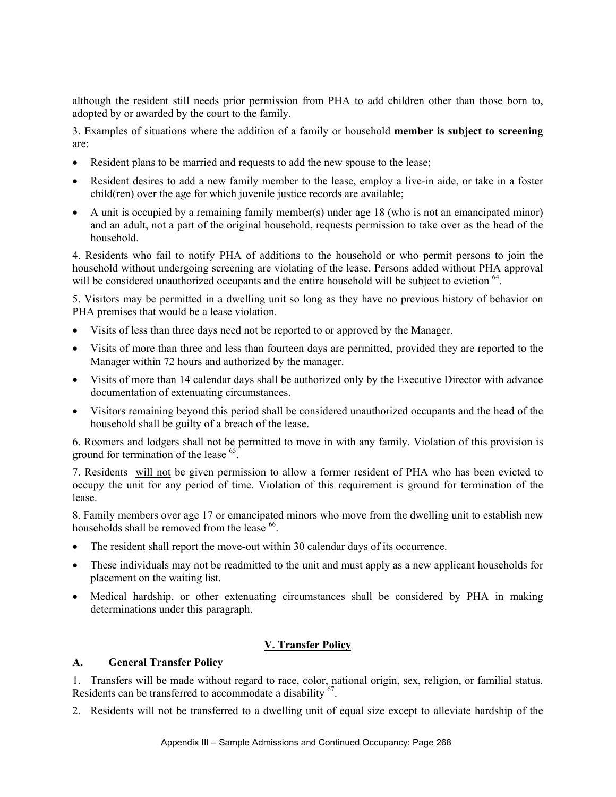although the resident still needs prior permission from PHA to add children other than those born to, adopted by or awarded by the court to the family.

3. Examples of situations where the addition of a family or household **member is subject to screening**  are:

- Resident plans to be married and requests to add the new spouse to the lease;
- Resident desires to add a new family member to the lease, employ a live-in aide, or take in a foster child(ren) over the age for which juvenile justice records are available;
- A unit is occupied by a remaining family member(s) under age 18 (who is not an emancipated minor) and an adult, not a part of the original household, requests permission to take over as the head of the household.

4. Residents who fail to notify PHA of additions to the household or who permit persons to join the household without undergoing screening are violating of the lease. Persons added without PHA approval will be considered unauthorized occupants and the entire household will be subject to eviction  $^{64}$ .

5. Visitors may be permitted in a dwelling unit so long as they have no previous history of behavior on PHA premises that would be a lease violation.

- Visits of less than three days need not be reported to or approved by the Manager.
- Visits of more than three and less than fourteen days are permitted, provided they are reported to the Manager within 72 hours and authorized by the manager.
- Visits of more than 14 calendar days shall be authorized only by the Executive Director with advance documentation of extenuating circumstances.
- Visitors remaining beyond this period shall be considered unauthorized occupants and the head of the household shall be guilty of a breach of the lease.

6. Roomers and lodgers shall not be permitted to move in with any family. Violation of this provision is ground for termination of the lease 65.

7. Residents will not be given permission to allow a former resident of PHA who has been evicted to occupy the unit for any period of time. Violation of this requirement is ground for termination of the lease.

8. Family members over age 17 or emancipated minors who move from the dwelling unit to establish new households shall be removed from the lease <sup>66</sup>.

- The resident shall report the move-out within 30 calendar days of its occurrence.
- These individuals may not be readmitted to the unit and must apply as a new applicant households for placement on the waiting list.
- Medical hardship, or other extenuating circumstances shall be considered by PHA in making determinations under this paragraph.

# **V. Transfer Policy**

#### **A. General Transfer Policy**

1. Transfers will be made without regard to race, color, national origin, sex, religion, or familial status. Residents can be transferred to accommodate a disability <sup>67</sup>.

2. Residents will not be transferred to a dwelling unit of equal size except to alleviate hardship of the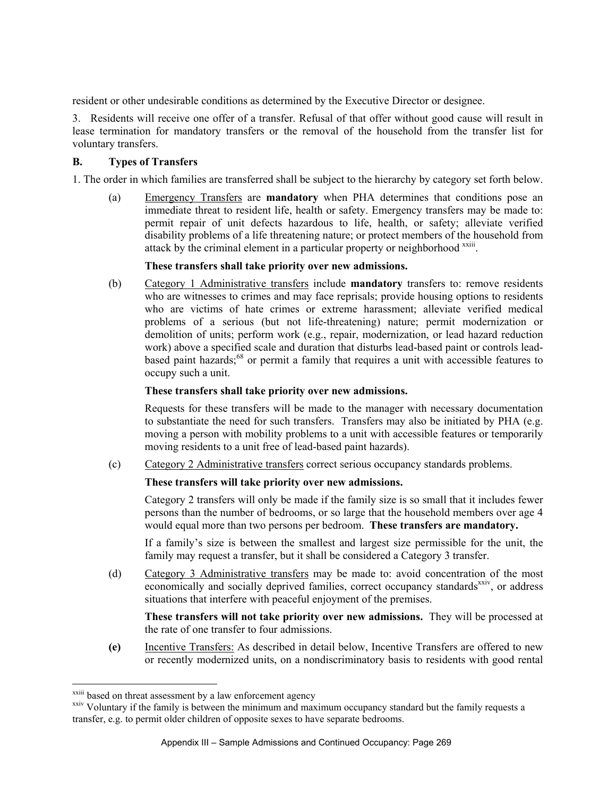resident or other undesirable conditions as determined by the Executive Director or designee.

3. Residents will receive one offer of a transfer. Refusal of that offer without good cause will result in lease termination for mandatory transfers or the removal of the household from the transfer list for voluntary transfers.

#### **B. Types of Transfers**

1. The order in which families are transferred shall be subject to the hierarchy by category set forth below.

(a) Emergency Transfers are **mandatory** when PHA determines that conditions pose an immediate threat to resident life, health or safety. Emergency transfers may be made to: permit repair of unit defects hazardous to life, health, or safety; alleviate verified disability problems of a life threatening nature; or protect members of the household from attack by the criminal element in a particular property or neighborhood xxiii.

#### **These transfers shall take priority over new admissions.**

(b) Category 1 Administrative transfers include **mandatory** transfers to: remove residents who are witnesses to crimes and may face reprisals; provide housing options to residents who are victims of hate crimes or extreme harassment; alleviate verified medical problems of a serious (but not life-threatening) nature; permit modernization or demolition of units; perform work (e.g., repair, modernization, or lead hazard reduction work) above a specified scale and duration that disturbs lead-based paint or controls leadbased paint hazards;<sup>68</sup> or permit a family that requires a unit with accessible features to occupy such a unit.

#### **These transfers shall take priority over new admissions.**

 Requests for these transfers will be made to the manager with necessary documentation to substantiate the need for such transfers. Transfers may also be initiated by PHA (e.g. moving a person with mobility problems to a unit with accessible features or temporarily moving residents to a unit free of lead-based paint hazards).

(c) Category 2 Administrative transfers correct serious occupancy standards problems.

#### **These transfers will take priority over new admissions.**

 Category 2 transfers will only be made if the family size is so small that it includes fewer persons than the number of bedrooms, or so large that the household members over age 4 would equal more than two persons per bedroom. **These transfers are mandatory.** 

If a family's size is between the smallest and largest size permissible for the unit, the family may request a transfer, but it shall be considered a Category 3 transfer.

(d) Category 3 Administrative transfers may be made to: avoid concentration of the most economically and socially deprived families, correct occupancy standards<sup>xxiv</sup>, or address situations that interfere with peaceful enjoyment of the premises.

 **These transfers will not take priority over new admissions.** They will be processed at the rate of one transfer to four admissions.

**(e)** Incentive Transfers: As described in detail below, Incentive Transfers are offered to new or recently modernized units, on a nondiscriminatory basis to residents with good rental

 $\overline{a}$ 

<sup>&</sup>lt;sup>xxiii</sup> based on threat assessment by a law enforcement agency

xxiv Voluntary if the family is between the minimum and maximum occupancy standard but the family requests a transfer, e.g. to permit older children of opposite sexes to have separate bedrooms.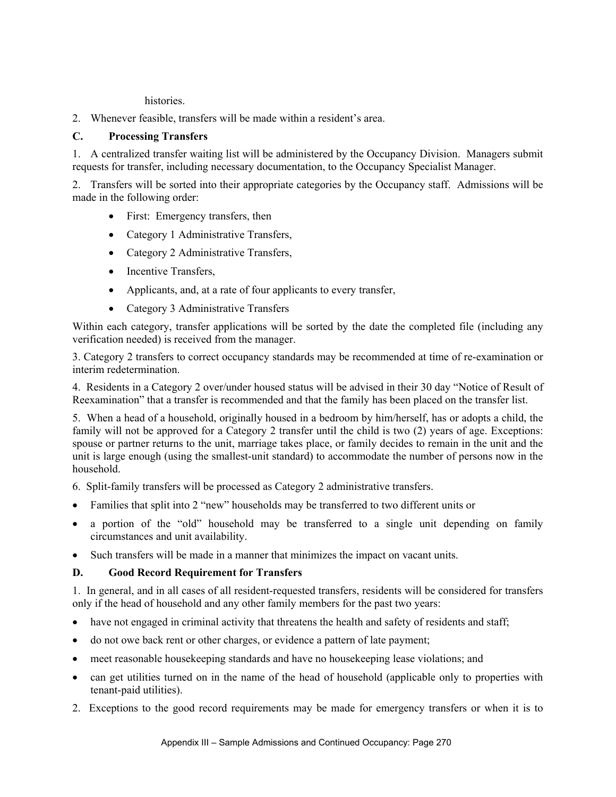histories.

2. Whenever feasible, transfers will be made within a resident's area.

# **C. Processing Transfers**

1. A centralized transfer waiting list will be administered by the Occupancy Division. Managers submit requests for transfer, including necessary documentation, to the Occupancy Specialist Manager.

2. Transfers will be sorted into their appropriate categories by the Occupancy staff. Admissions will be made in the following order:

- First: Emergency transfers, then
- Category 1 Administrative Transfers,
- Category 2 Administrative Transfers,
- Incentive Transfers,
- Applicants, and, at a rate of four applicants to every transfer,
- Category 3 Administrative Transfers

Within each category, transfer applications will be sorted by the date the completed file (including any verification needed) is received from the manager.

3. Category 2 transfers to correct occupancy standards may be recommended at time of re-examination or interim redetermination.

4. Residents in a Category 2 over/under housed status will be advised in their 30 day "Notice of Result of Reexamination" that a transfer is recommended and that the family has been placed on the transfer list.

5. When a head of a household, originally housed in a bedroom by him/herself, has or adopts a child, the family will not be approved for a Category 2 transfer until the child is two (2) years of age. Exceptions: spouse or partner returns to the unit, marriage takes place, or family decides to remain in the unit and the unit is large enough (using the smallest-unit standard) to accommodate the number of persons now in the household.

- 6. Split-family transfers will be processed as Category 2 administrative transfers.
- Families that split into 2 "new" households may be transferred to two different units or
- a portion of the "old" household may be transferred to a single unit depending on family circumstances and unit availability.
- Such transfers will be made in a manner that minimizes the impact on vacant units.

# **D. Good Record Requirement for Transfers**

1. In general, and in all cases of all resident-requested transfers, residents will be considered for transfers only if the head of household and any other family members for the past two years:

- have not engaged in criminal activity that threatens the health and safety of residents and staff;
- do not owe back rent or other charges, or evidence a pattern of late payment;
- meet reasonable housekeeping standards and have no housekeeping lease violations; and
- can get utilities turned on in the name of the head of household (applicable only to properties with tenant-paid utilities).
- 2. Exceptions to the good record requirements may be made for emergency transfers or when it is to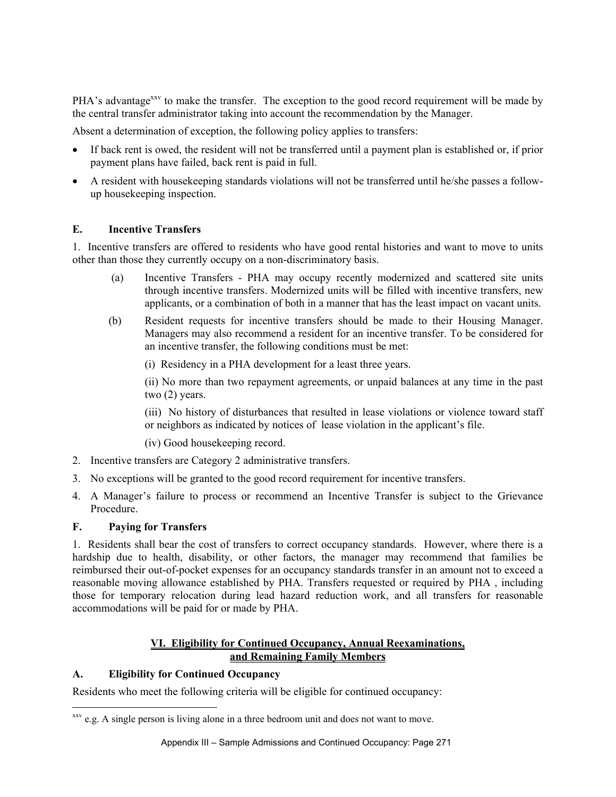PHA's advantage<sup>xxv</sup> to make the transfer. The exception to the good record requirement will be made by the central transfer administrator taking into account the recommendation by the Manager.

Absent a determination of exception, the following policy applies to transfers:

- If back rent is owed, the resident will not be transferred until a payment plan is established or, if prior payment plans have failed, back rent is paid in full.
- A resident with housekeeping standards violations will not be transferred until he/she passes a followup housekeeping inspection.

# **E. Incentive Transfers**

1. Incentive transfers are offered to residents who have good rental histories and want to move to units other than those they currently occupy on a non-discriminatory basis.

- (a) Incentive Transfers PHA may occupy recently modernized and scattered site units through incentive transfers. Modernized units will be filled with incentive transfers, new applicants, or a combination of both in a manner that has the least impact on vacant units.
- (b) Resident requests for incentive transfers should be made to their Housing Manager. Managers may also recommend a resident for an incentive transfer. To be considered for an incentive transfer, the following conditions must be met:

(i) Residency in a PHA development for a least three years.

(ii) No more than two repayment agreements, or unpaid balances at any time in the past two (2) years.

(iii) No history of disturbances that resulted in lease violations or violence toward staff or neighbors as indicated by notices of lease violation in the applicant's file.

(iv) Good housekeeping record.

- 2. Incentive transfers are Category 2 administrative transfers.
- 3. No exceptions will be granted to the good record requirement for incentive transfers.
- 4. A Manager's failure to process or recommend an Incentive Transfer is subject to the Grievance Procedure.

#### **F. Paying for Transfers**

 $\overline{a}$ 

1. Residents shall bear the cost of transfers to correct occupancy standards. However, where there is a hardship due to health, disability, or other factors, the manager may recommend that families be reimbursed their out-of-pocket expenses for an occupancy standards transfer in an amount not to exceed a reasonable moving allowance established by PHA. Transfers requested or required by PHA , including those for temporary relocation during lead hazard reduction work, and all transfers for reasonable accommodations will be paid for or made by PHA.

### **VI. Eligibility for Continued Occupancy, Annual Reexaminations, and Remaining Family Members**

#### **A. Eligibility for Continued Occupancy**

Residents who meet the following criteria will be eligible for continued occupancy:

<sup>&</sup>lt;sup>xxv</sup> e.g. A single person is living alone in a three bedroom unit and does not want to move.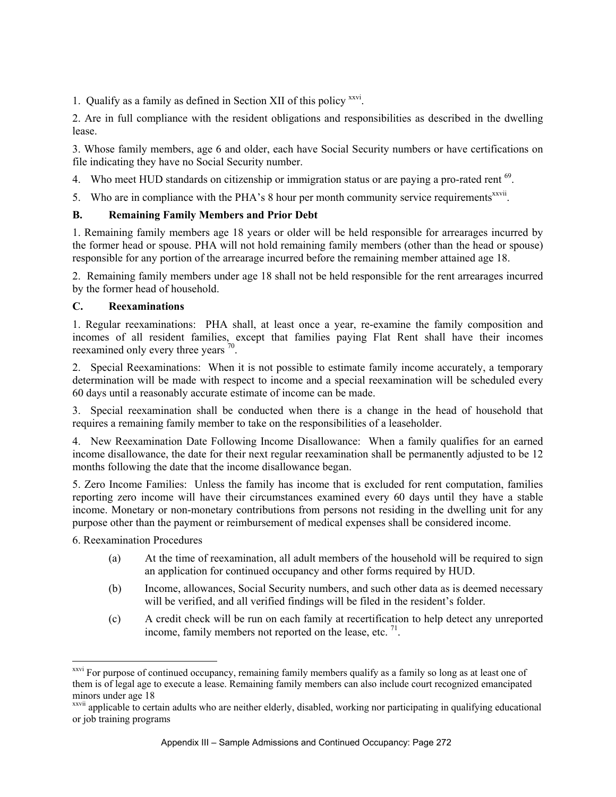1. Qualify as a family as defined in Section XII of this policy xxvi.

2. Are in full compliance with the resident obligations and responsibilities as described in the dwelling lease.

3. Whose family members, age 6 and older, each have Social Security numbers or have certifications on file indicating they have no Social Security number.

- 4. Who meet HUD standards on citizenship or immigration status or are paying a pro-rated rent <sup>69</sup>.
- 5. Who are in compliance with the PHA's 8 hour per month community service requirements<sup>xxvii</sup>.

### **B. Remaining Family Members and Prior Debt**

1. Remaining family members age 18 years or older will be held responsible for arrearages incurred by the former head or spouse. PHA will not hold remaining family members (other than the head or spouse) responsible for any portion of the arrearage incurred before the remaining member attained age 18.

2. Remaining family members under age 18 shall not be held responsible for the rent arrearages incurred by the former head of household.

#### **C. Reexaminations**

1. Regular reexaminations: PHA shall, at least once a year, re-examine the family composition and incomes of all resident families, except that families paying Flat Rent shall have their incomes reexamined only every three years <sup>70</sup>.

2. Special Reexaminations: When it is not possible to estimate family income accurately, a temporary determination will be made with respect to income and a special reexamination will be scheduled every 60 days until a reasonably accurate estimate of income can be made.

3. Special reexamination shall be conducted when there is a change in the head of household that requires a remaining family member to take on the responsibilities of a leaseholder.

4. New Reexamination Date Following Income Disallowance: When a family qualifies for an earned income disallowance, the date for their next regular reexamination shall be permanently adjusted to be 12 months following the date that the income disallowance began.

5. Zero Income Families: Unless the family has income that is excluded for rent computation, families reporting zero income will have their circumstances examined every 60 days until they have a stable income. Monetary or non-monetary contributions from persons not residing in the dwelling unit for any purpose other than the payment or reimbursement of medical expenses shall be considered income.

6. Reexamination Procedures

 $\overline{a}$ 

- (a) At the time of reexamination, all adult members of the household will be required to sign an application for continued occupancy and other forms required by HUD.
- (b) Income, allowances, Social Security numbers, and such other data as is deemed necessary will be verified, and all verified findings will be filed in the resident's folder.
- (c) A credit check will be run on each family at recertification to help detect any unreported income, family members not reported on the lease, etc.  $^{71}$ .

<sup>&</sup>lt;sup>xxvi</sup> For purpose of continued occupancy, remaining family members qualify as a family so long as at least one of them is of legal age to execute a lease. Remaining family members can also include court recognized emancipated minors under age 18

xxvii applicable to certain adults who are neither elderly, disabled, working nor participating in qualifying educational or job training programs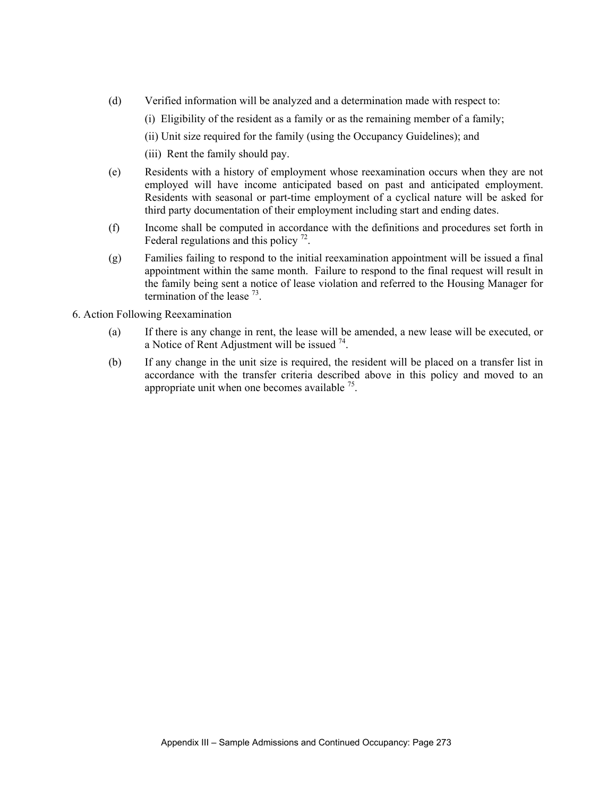- (d) Verified information will be analyzed and a determination made with respect to:
	- (i) Eligibility of the resident as a family or as the remaining member of a family;
	- (ii) Unit size required for the family (using the Occupancy Guidelines); and
	- (iii) Rent the family should pay.
- (e) Residents with a history of employment whose reexamination occurs when they are not employed will have income anticipated based on past and anticipated employment. Residents with seasonal or part-time employment of a cyclical nature will be asked for third party documentation of their employment including start and ending dates.
- (f) Income shall be computed in accordance with the definitions and procedures set forth in Federal regulations and this policy  $^{72}$ .
- (g) Families failing to respond to the initial reexamination appointment will be issued a final appointment within the same month. Failure to respond to the final request will result in the family being sent a notice of lease violation and referred to the Housing Manager for termination of the lease  $^{73}$ .
- 6. Action Following Reexamination
	- (a) If there is any change in rent, the lease will be amended, a new lease will be executed, or a Notice of Rent Adjustment will be issued  $^{74}$ .
	- (b) If any change in the unit size is required, the resident will be placed on a transfer list in accordance with the transfer criteria described above in this policy and moved to an appropriate unit when one becomes available  $^{75}$ .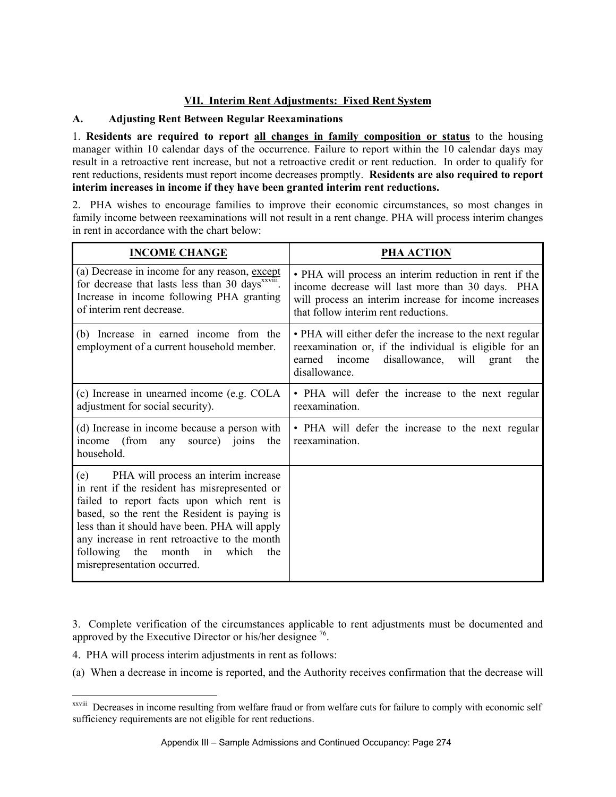# **VII. Interim Rent Adjustments: Fixed Rent System**

# **A. Adjusting Rent Between Regular Reexaminations**

1. **Residents are required to report all changes in family composition or status** to the housing manager within 10 calendar days of the occurrence. Failure to report within the 10 calendar days may result in a retroactive rent increase, but not a retroactive credit or rent reduction. In order to qualify for rent reductions, residents must report income decreases promptly. **Residents are also required to report interim increases in income if they have been granted interim rent reductions.** 

2. PHA wishes to encourage families to improve their economic circumstances, so most changes in family income between reexaminations will not result in a rent change. PHA will process interim changes in rent in accordance with the chart below:

| <b>INCOME CHANGE</b>                                                                                                                                                                                                                                                                                                                                                 | PHA ACTION                                                                                                                                                                                                  |
|----------------------------------------------------------------------------------------------------------------------------------------------------------------------------------------------------------------------------------------------------------------------------------------------------------------------------------------------------------------------|-------------------------------------------------------------------------------------------------------------------------------------------------------------------------------------------------------------|
| (a) Decrease in income for any reason, except<br>for decrease that lasts less than 30 days <sup>xxviii</sup> .<br>Increase in income following PHA granting<br>of interim rent decrease.                                                                                                                                                                             | • PHA will process an interim reduction in rent if the<br>income decrease will last more than 30 days. PHA<br>will process an interim increase for income increases<br>that follow interim rent reductions. |
| (b) Increase in earned income from the<br>employment of a current household member.                                                                                                                                                                                                                                                                                  | • PHA will either defer the increase to the next regular<br>reexamination or, if the individual is eligible for an<br>disallowance, will grant<br>earned income<br>the<br>disallowance.                     |
| (c) Increase in unearned income (e.g. COLA<br>adjustment for social security).                                                                                                                                                                                                                                                                                       | • PHA will defer the increase to the next regular<br>reexamination.                                                                                                                                         |
| (d) Increase in income because a person with<br>income (from<br>any source) joins<br>the<br>household.                                                                                                                                                                                                                                                               | • PHA will defer the increase to the next regular<br>reexamination.                                                                                                                                         |
| (e) PHA will process an interim increase<br>in rent if the resident has misrepresented or<br>failed to report facts upon which rent is<br>based, so the rent the Resident is paying is<br>less than it should have been. PHA will apply<br>any increase in rent retroactive to the month<br>following the month<br>which<br>in<br>the<br>misrepresentation occurred. |                                                                                                                                                                                                             |

3. Complete verification of the circumstances applicable to rent adjustments must be documented and approved by the Executive Director or his/her designee  $^{76}$ .

4. PHA will process interim adjustments in rent as follows:

 $\overline{a}$ 

(a) When a decrease in income is reported, and the Authority receives confirmation that the decrease will

xxviii Decreases in income resulting from welfare fraud or from welfare cuts for failure to comply with economic self sufficiency requirements are not eligible for rent reductions.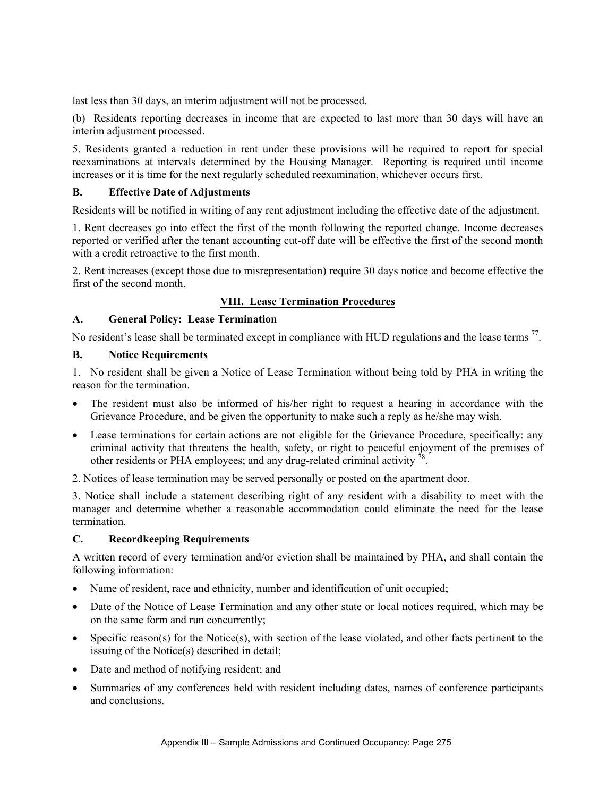last less than 30 days, an interim adjustment will not be processed.

 (b) Residents reporting decreases in income that are expected to last more than 30 days will have an interim adjustment processed.

5. Residents granted a reduction in rent under these provisions will be required to report for special reexaminations at intervals determined by the Housing Manager. Reporting is required until income increases or it is time for the next regularly scheduled reexamination, whichever occurs first.

### **B. Effective Date of Adjustments**

Residents will be notified in writing of any rent adjustment including the effective date of the adjustment.

1. Rent decreases go into effect the first of the month following the reported change. Income decreases reported or verified after the tenant accounting cut-off date will be effective the first of the second month with a credit retroactive to the first month.

2. Rent increases (except those due to misrepresentation) require 30 days notice and become effective the first of the second month.

# **VIII. Lease Termination Procedures**

### **A. General Policy: Lease Termination**

No resident's lease shall be terminated except in compliance with HUD regulations and the lease terms<sup>77</sup>.

### **B. Notice Requirements**

1. No resident shall be given a Notice of Lease Termination without being told by PHA in writing the reason for the termination.

- The resident must also be informed of his/her right to request a hearing in accordance with the Grievance Procedure, and be given the opportunity to make such a reply as he/she may wish.
- Lease terminations for certain actions are not eligible for the Grievance Procedure, specifically: any criminal activity that threatens the health, safety, or right to peaceful enjoyment of the premises of other residents or PHA employees; and any drug-related criminal activity  $^{78}$ .
- 2. Notices of lease termination may be served personally or posted on the apartment door.

3. Notice shall include a statement describing right of any resident with a disability to meet with the manager and determine whether a reasonable accommodation could eliminate the need for the lease termination.

# **C. Recordkeeping Requirements**

A written record of every termination and/or eviction shall be maintained by PHA, and shall contain the following information:

- Name of resident, race and ethnicity, number and identification of unit occupied;
- Date of the Notice of Lease Termination and any other state or local notices required, which may be on the same form and run concurrently;
- Specific reason(s) for the Notice(s), with section of the lease violated, and other facts pertinent to the issuing of the Notice(s) described in detail;
- Date and method of notifying resident; and
- Summaries of any conferences held with resident including dates, names of conference participants and conclusions.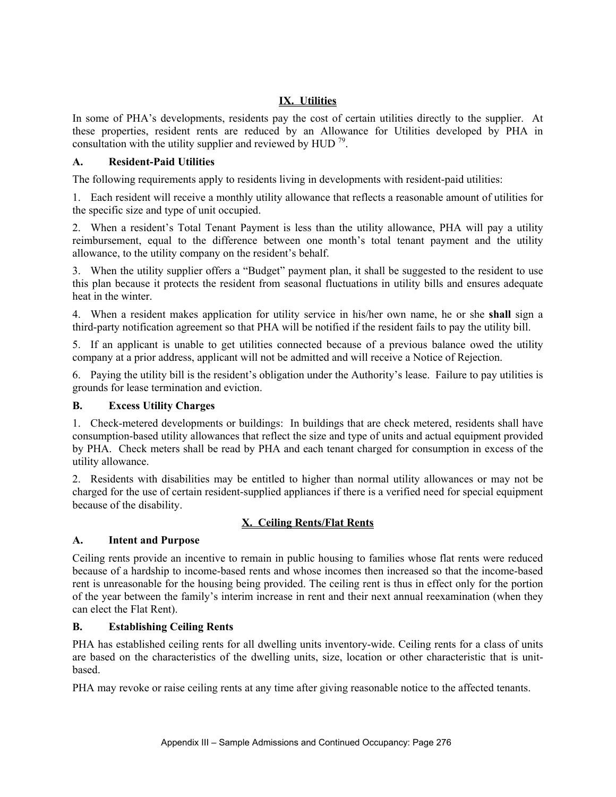# **IX. Utilities**

In some of PHA's developments, residents pay the cost of certain utilities directly to the supplier. At these properties, resident rents are reduced by an Allowance for Utilities developed by PHA in consultation with the utility supplier and reviewed by HUD  $^{79}$ .

#### **A. Resident-Paid Utilities**

The following requirements apply to residents living in developments with resident-paid utilities:

1. Each resident will receive a monthly utility allowance that reflects a reasonable amount of utilities for the specific size and type of unit occupied.

2. When a resident's Total Tenant Payment is less than the utility allowance, PHA will pay a utility reimbursement, equal to the difference between one month's total tenant payment and the utility allowance, to the utility company on the resident's behalf.

3. When the utility supplier offers a "Budget" payment plan, it shall be suggested to the resident to use this plan because it protects the resident from seasonal fluctuations in utility bills and ensures adequate heat in the winter.

4. When a resident makes application for utility service in his/her own name, he or she **shall** sign a third-party notification agreement so that PHA will be notified if the resident fails to pay the utility bill.

5. If an applicant is unable to get utilities connected because of a previous balance owed the utility company at a prior address, applicant will not be admitted and will receive a Notice of Rejection.

6. Paying the utility bill is the resident's obligation under the Authority's lease. Failure to pay utilities is grounds for lease termination and eviction.

#### **B. Excess Utility Charges**

1. Check-metered developments or buildings: In buildings that are check metered, residents shall have consumption-based utility allowances that reflect the size and type of units and actual equipment provided by PHA. Check meters shall be read by PHA and each tenant charged for consumption in excess of the utility allowance.

2. Residents with disabilities may be entitled to higher than normal utility allowances or may not be charged for the use of certain resident-supplied appliances if there is a verified need for special equipment because of the disability.

# **X. Ceiling Rents/Flat Rents**

#### **A. Intent and Purpose**

Ceiling rents provide an incentive to remain in public housing to families whose flat rents were reduced because of a hardship to income-based rents and whose incomes then increased so that the income-based rent is unreasonable for the housing being provided. The ceiling rent is thus in effect only for the portion of the year between the family's interim increase in rent and their next annual reexamination (when they can elect the Flat Rent).

#### **B. Establishing Ceiling Rents**

PHA has established ceiling rents for all dwelling units inventory-wide. Ceiling rents for a class of units are based on the characteristics of the dwelling units, size, location or other characteristic that is unitbased.

PHA may revoke or raise ceiling rents at any time after giving reasonable notice to the affected tenants.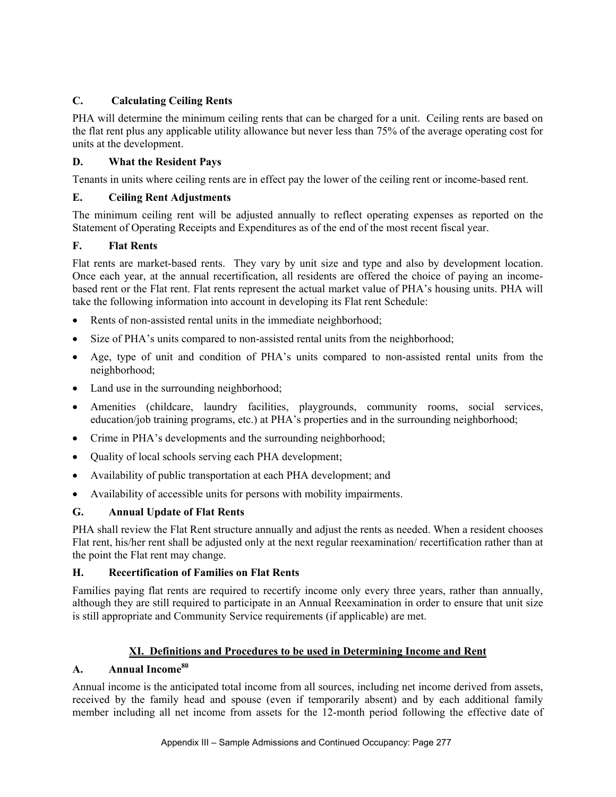# **C. Calculating Ceiling Rents**

PHA will determine the minimum ceiling rents that can be charged for a unit. Ceiling rents are based on the flat rent plus any applicable utility allowance but never less than 75% of the average operating cost for units at the development.

# **D. What the Resident Pays**

Tenants in units where ceiling rents are in effect pay the lower of the ceiling rent or income-based rent.

# **E. Ceiling Rent Adjustments**

The minimum ceiling rent will be adjusted annually to reflect operating expenses as reported on the Statement of Operating Receipts and Expenditures as of the end of the most recent fiscal year.

# **F. Flat Rents**

Flat rents are market-based rents. They vary by unit size and type and also by development location. Once each year, at the annual recertification, all residents are offered the choice of paying an incomebased rent or the Flat rent. Flat rents represent the actual market value of PHA's housing units. PHA will take the following information into account in developing its Flat rent Schedule:

- Rents of non-assisted rental units in the immediate neighborhood;
- Size of PHA's units compared to non-assisted rental units from the neighborhood;
- Age, type of unit and condition of PHA's units compared to non-assisted rental units from the neighborhood;
- Land use in the surrounding neighborhood;
- Amenities (childcare, laundry facilities, playgrounds, community rooms, social services, education/job training programs, etc.) at PHA's properties and in the surrounding neighborhood;
- Crime in PHA's developments and the surrounding neighborhood;
- Quality of local schools serving each PHA development;
- Availability of public transportation at each PHA development; and
- Availability of accessible units for persons with mobility impairments.

# **G. Annual Update of Flat Rents**

PHA shall review the Flat Rent structure annually and adjust the rents as needed. When a resident chooses Flat rent, his/her rent shall be adjusted only at the next regular reexamination/ recertification rather than at the point the Flat rent may change.

# **H. Recertification of Families on Flat Rents**

Families paying flat rents are required to recertify income only every three years, rather than annually, although they are still required to participate in an Annual Reexamination in order to ensure that unit size is still appropriate and Community Service requirements (if applicable) are met.

# **XI. Definitions and Procedures to be used in Determining Income and Rent**

# **A. Annual Income80**

Annual income is the anticipated total income from all sources, including net income derived from assets, received by the family head and spouse (even if temporarily absent) and by each additional family member including all net income from assets for the 12-month period following the effective date of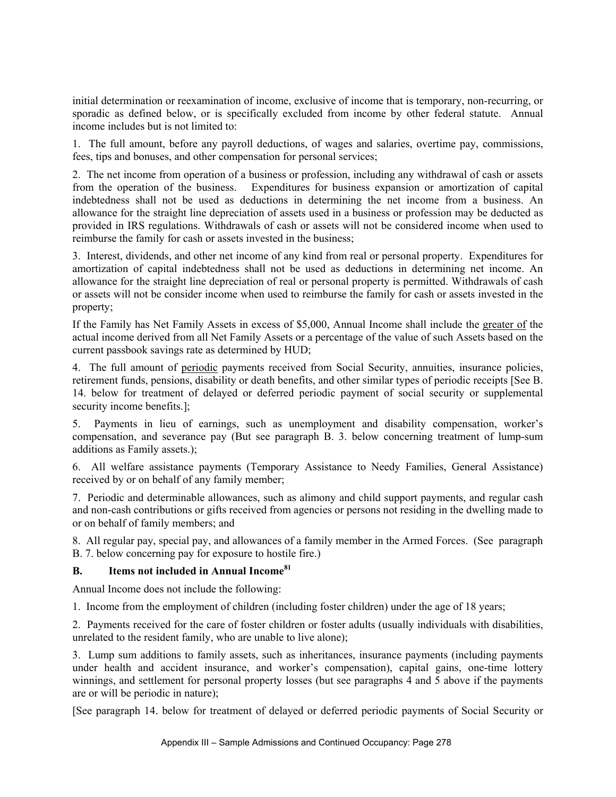initial determination or reexamination of income, exclusive of income that is temporary, non-recurring, or sporadic as defined below, or is specifically excluded from income by other federal statute. Annual income includes but is not limited to:

1. The full amount, before any payroll deductions, of wages and salaries, overtime pay, commissions, fees, tips and bonuses, and other compensation for personal services;

2. The net income from operation of a business or profession, including any withdrawal of cash or assets from the operation of the business. Expenditures for business expansion or amortization of capital indebtedness shall not be used as deductions in determining the net income from a business. An allowance for the straight line depreciation of assets used in a business or profession may be deducted as provided in IRS regulations. Withdrawals of cash or assets will not be considered income when used to reimburse the family for cash or assets invested in the business;

3. Interest, dividends, and other net income of any kind from real or personal property. Expenditures for amortization of capital indebtedness shall not be used as deductions in determining net income. An allowance for the straight line depreciation of real or personal property is permitted. Withdrawals of cash or assets will not be consider income when used to reimburse the family for cash or assets invested in the property;

If the Family has Net Family Assets in excess of \$5,000, Annual Income shall include the greater of the actual income derived from all Net Family Assets or a percentage of the value of such Assets based on the current passbook savings rate as determined by HUD;

4. The full amount of periodic payments received from Social Security, annuities, insurance policies, retirement funds, pensions, disability or death benefits, and other similar types of periodic receipts [See B. 14. below for treatment of delayed or deferred periodic payment of social security or supplemental security income benefits.];

5. Payments in lieu of earnings, such as unemployment and disability compensation, worker's compensation, and severance pay (But see paragraph B. 3. below concerning treatment of lump-sum additions as Family assets.);

6. All welfare assistance payments (Temporary Assistance to Needy Families, General Assistance) received by or on behalf of any family member;

7. Periodic and determinable allowances, such as alimony and child support payments, and regular cash and non-cash contributions or gifts received from agencies or persons not residing in the dwelling made to or on behalf of family members; and

8. All regular pay, special pay, and allowances of a family member in the Armed Forces. (See paragraph B. 7. below concerning pay for exposure to hostile fire.)

#### **B. Items not included in Annual Income81**

Annual Income does not include the following:

1. Income from the employment of children (including foster children) under the age of 18 years;

2. Payments received for the care of foster children or foster adults (usually individuals with disabilities, unrelated to the resident family, who are unable to live alone);

3. Lump sum additions to family assets, such as inheritances, insurance payments (including payments under health and accident insurance, and worker's compensation), capital gains, one-time lottery winnings, and settlement for personal property losses (but see paragraphs 4 and 5 above if the payments are or will be periodic in nature);

[See paragraph 14. below for treatment of delayed or deferred periodic payments of Social Security or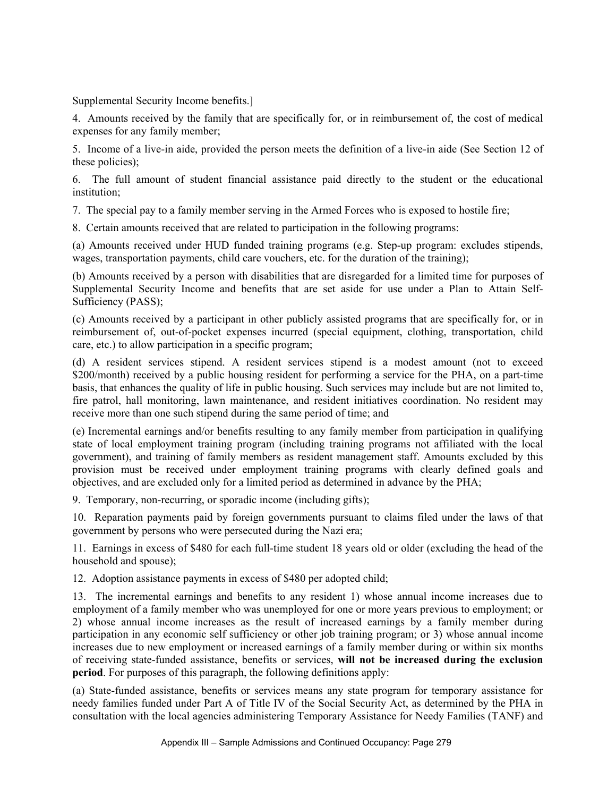Supplemental Security Income benefits.]

4. Amounts received by the family that are specifically for, or in reimbursement of, the cost of medical expenses for any family member;

5. Income of a live-in aide, provided the person meets the definition of a live-in aide (See Section 12 of these policies);

6. The full amount of student financial assistance paid directly to the student or the educational institution;

7. The special pay to a family member serving in the Armed Forces who is exposed to hostile fire;

8. Certain amounts received that are related to participation in the following programs:

(a) Amounts received under HUD funded training programs (e.g. Step-up program: excludes stipends, wages, transportation payments, child care vouchers, etc. for the duration of the training);

(b) Amounts received by a person with disabilities that are disregarded for a limited time for purposes of Supplemental Security Income and benefits that are set aside for use under a Plan to Attain Self-Sufficiency (PASS);

(c) Amounts received by a participant in other publicly assisted programs that are specifically for, or in reimbursement of, out-of-pocket expenses incurred (special equipment, clothing, transportation, child care, etc.) to allow participation in a specific program;

(d) A resident services stipend. A resident services stipend is a modest amount (not to exceed \$200/month) received by a public housing resident for performing a service for the PHA, on a part-time basis, that enhances the quality of life in public housing. Such services may include but are not limited to, fire patrol, hall monitoring, lawn maintenance, and resident initiatives coordination. No resident may receive more than one such stipend during the same period of time; and

(e) Incremental earnings and/or benefits resulting to any family member from participation in qualifying state of local employment training program (including training programs not affiliated with the local government), and training of family members as resident management staff. Amounts excluded by this provision must be received under employment training programs with clearly defined goals and objectives, and are excluded only for a limited period as determined in advance by the PHA;

9. Temporary, non-recurring, or sporadic income (including gifts);

10. Reparation payments paid by foreign governments pursuant to claims filed under the laws of that government by persons who were persecuted during the Nazi era;

11. Earnings in excess of \$480 for each full-time student 18 years old or older (excluding the head of the household and spouse);

12. Adoption assistance payments in excess of \$480 per adopted child;

13. The incremental earnings and benefits to any resident 1) whose annual income increases due to employment of a family member who was unemployed for one or more years previous to employment; or 2) whose annual income increases as the result of increased earnings by a family member during participation in any economic self sufficiency or other job training program; or 3) whose annual income increases due to new employment or increased earnings of a family member during or within six months of receiving state-funded assistance, benefits or services, **will not be increased during the exclusion period**. For purposes of this paragraph, the following definitions apply:

(a) State-funded assistance, benefits or services means any state program for temporary assistance for needy families funded under Part A of Title IV of the Social Security Act, as determined by the PHA in consultation with the local agencies administering Temporary Assistance for Needy Families (TANF) and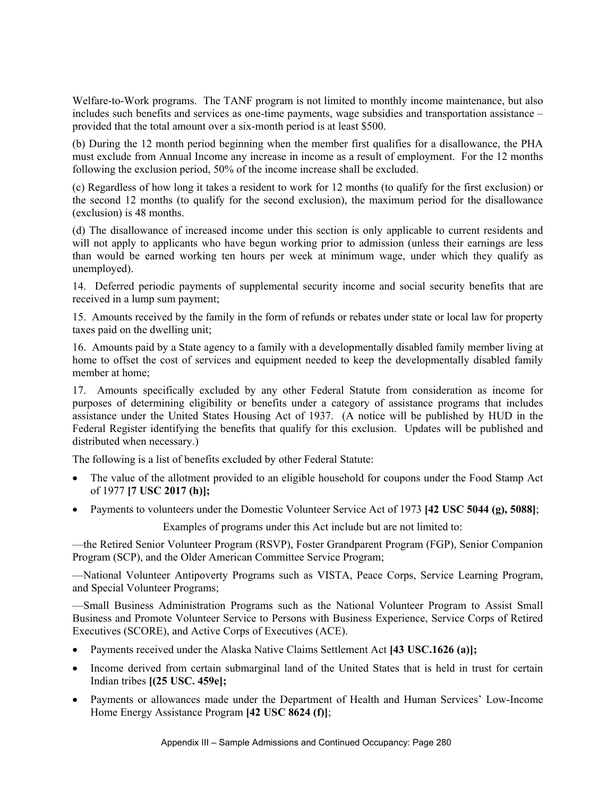Welfare-to-Work programs. The TANF program is not limited to monthly income maintenance, but also includes such benefits and services as one-time payments, wage subsidies and transportation assistance – provided that the total amount over a six-month period is at least \$500.

(b) During the 12 month period beginning when the member first qualifies for a disallowance, the PHA must exclude from Annual Income any increase in income as a result of employment. For the 12 months following the exclusion period, 50% of the income increase shall be excluded.

(c) Regardless of how long it takes a resident to work for 12 months (to qualify for the first exclusion) or the second 12 months (to qualify for the second exclusion), the maximum period for the disallowance (exclusion) is 48 months.

(d) The disallowance of increased income under this section is only applicable to current residents and will not apply to applicants who have begun working prior to admission (unless their earnings are less than would be earned working ten hours per week at minimum wage, under which they qualify as unemployed).

14. Deferred periodic payments of supplemental security income and social security benefits that are received in a lump sum payment;

15. Amounts received by the family in the form of refunds or rebates under state or local law for property taxes paid on the dwelling unit;

16. Amounts paid by a State agency to a family with a developmentally disabled family member living at home to offset the cost of services and equipment needed to keep the developmentally disabled family member at home;

17. Amounts specifically excluded by any other Federal Statute from consideration as income for purposes of determining eligibility or benefits under a category of assistance programs that includes assistance under the United States Housing Act of 1937. (A notice will be published by HUD in the Federal Register identifying the benefits that qualify for this exclusion. Updates will be published and distributed when necessary.)

The following is a list of benefits excluded by other Federal Statute:

- The value of the allotment provided to an eligible household for coupons under the Food Stamp Act of 1977 **[7 USC 2017 (h)];**
- Payments to volunteers under the Domestic Volunteer Service Act of 1973 **[42 USC 5044 (g), 5088]**;

Examples of programs under this Act include but are not limited to:

—the Retired Senior Volunteer Program (RSVP), Foster Grandparent Program (FGP), Senior Companion Program (SCP), and the Older American Committee Service Program;

—National Volunteer Antipoverty Programs such as VISTA, Peace Corps, Service Learning Program, and Special Volunteer Programs;

—Small Business Administration Programs such as the National Volunteer Program to Assist Small Business and Promote Volunteer Service to Persons with Business Experience, Service Corps of Retired Executives (SCORE), and Active Corps of Executives (ACE).

- Payments received under the Alaska Native Claims Settlement Act **[43 USC.1626 (a)];**
- Income derived from certain submarginal land of the United States that is held in trust for certain Indian tribes **[(25 USC. 459e];**
- Payments or allowances made under the Department of Health and Human Services' Low-Income Home Energy Assistance Program **[42 USC 8624 (f)]**;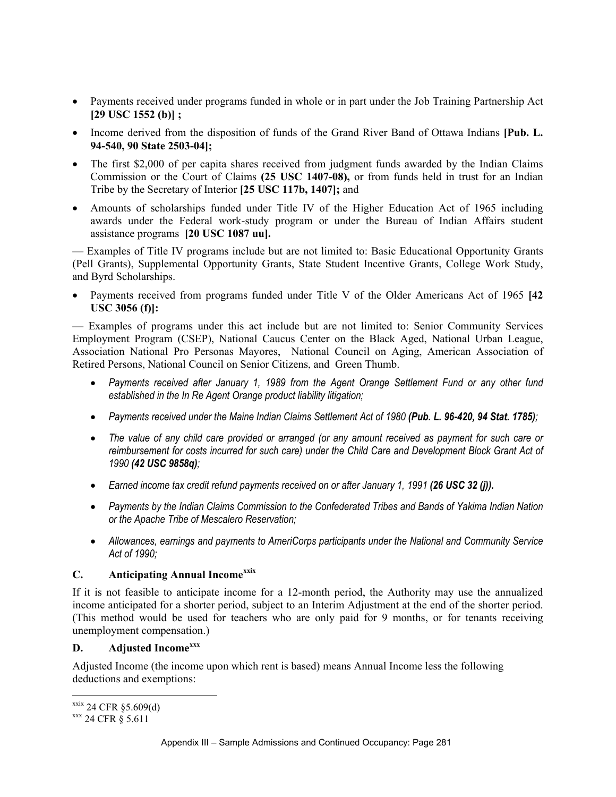- Payments received under programs funded in whole or in part under the Job Training Partnership Act **[29 USC 1552 (b)] ;**
- Income derived from the disposition of funds of the Grand River Band of Ottawa Indians **[Pub. L. 94-540, 90 State 2503-04];**
- The first \$2,000 of per capita shares received from judgment funds awarded by the Indian Claims Commission or the Court of Claims **(25 USC 1407-08),** or from funds held in trust for an Indian Tribe by the Secretary of Interior **[25 USC 117b, 1407];** and
- Amounts of scholarships funded under Title IV of the Higher Education Act of 1965 including awards under the Federal work-study program or under the Bureau of Indian Affairs student assistance programs **[20 USC 1087 uu].**

— Examples of Title IV programs include but are not limited to: Basic Educational Opportunity Grants (Pell Grants), Supplemental Opportunity Grants, State Student Incentive Grants, College Work Study, and Byrd Scholarships.

• Payments received from programs funded under Title V of the Older Americans Act of 1965 **[42 USC 3056 (f)]:**

— Examples of programs under this act include but are not limited to: Senior Community Services Employment Program (CSEP), National Caucus Center on the Black Aged, National Urban League, Association National Pro Personas Mayores, National Council on Aging, American Association of Retired Persons, National Council on Senior Citizens, and Green Thumb.

- *Payments received after January 1, 1989 from the Agent Orange Settlement Fund or any other fund established in the In Re Agent Orange product liability litigation;*
- Payments received under the Maine Indian Claims Settlement Act of 1980 (Pub. L. 96-420, 94 Stat. 1785);
- *The value of any child care provided or arranged (or any amount received as payment for such care or reimbursement for costs incurred for such care) under the Child Care and Development Block Grant Act of 1990 (42 USC 9858q);*
- Earned income tax credit refund payments received on or after January 1, 1991 (26 USC 32 (j)).
- *Payments by the Indian Claims Commission to the Confederated Tribes and Bands of Yakima Indian Nation or the Apache Tribe of Mescalero Reservation;*
- *Allowances, earnings and payments to AmeriCorps participants under the National and Community Service Act of 1990;*

# **C. Anticipating Annual Incomexxix**

If it is not feasible to anticipate income for a 12-month period, the Authority may use the annualized income anticipated for a shorter period, subject to an Interim Adjustment at the end of the shorter period. (This method would be used for teachers who are only paid for 9 months, or for tenants receiving unemployment compensation.)

# **D. Adjusted Incomexxx**

Adjusted Income (the income upon which rent is based) means Annual Income less the following deductions and exemptions:

 $\overline{a}$ 

 $\frac{\text{xxix}}{\text{xx}}$  24 CFR § 5.609(d)<br> $\frac{\text{xxx}}{\text{xx}}$  24 CFR § 5.611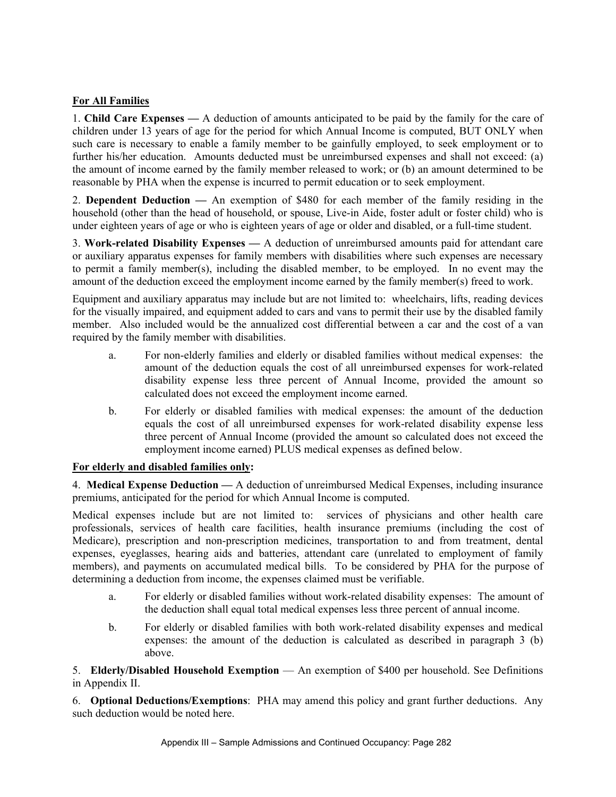# **For All Families**

1. **Child Care Expenses —** A deduction of amounts anticipated to be paid by the family for the care of children under 13 years of age for the period for which Annual Income is computed, BUT ONLY when such care is necessary to enable a family member to be gainfully employed, to seek employment or to further his/her education. Amounts deducted must be unreimbursed expenses and shall not exceed: (a) the amount of income earned by the family member released to work; or (b) an amount determined to be reasonable by PHA when the expense is incurred to permit education or to seek employment.

2. **Dependent Deduction —** An exemption of \$480 for each member of the family residing in the household (other than the head of household, or spouse, Live-in Aide, foster adult or foster child) who is under eighteen years of age or who is eighteen years of age or older and disabled, or a full-time student.

3. **Work-related Disability Expenses —** A deduction of unreimbursed amounts paid for attendant care or auxiliary apparatus expenses for family members with disabilities where such expenses are necessary to permit a family member(s), including the disabled member, to be employed. In no event may the amount of the deduction exceed the employment income earned by the family member(s) freed to work.

Equipment and auxiliary apparatus may include but are not limited to: wheelchairs, lifts, reading devices for the visually impaired, and equipment added to cars and vans to permit their use by the disabled family member. Also included would be the annualized cost differential between a car and the cost of a van required by the family member with disabilities.

- a. For non-elderly families and elderly or disabled families without medical expenses: the amount of the deduction equals the cost of all unreimbursed expenses for work-related disability expense less three percent of Annual Income, provided the amount so calculated does not exceed the employment income earned.
- b. For elderly or disabled families with medical expenses: the amount of the deduction equals the cost of all unreimbursed expenses for work-related disability expense less three percent of Annual Income (provided the amount so calculated does not exceed the employment income earned) PLUS medical expenses as defined below.

# **For elderly and disabled families only:**

4. **Medical Expense Deduction —** A deduction of unreimbursed Medical Expenses, including insurance premiums, anticipated for the period for which Annual Income is computed.

Medical expenses include but are not limited to: services of physicians and other health care professionals, services of health care facilities, health insurance premiums (including the cost of Medicare), prescription and non-prescription medicines, transportation to and from treatment, dental expenses, eyeglasses, hearing aids and batteries, attendant care (unrelated to employment of family members), and payments on accumulated medical bills. To be considered by PHA for the purpose of determining a deduction from income, the expenses claimed must be verifiable.

- a. For elderly or disabled families without work-related disability expenses: The amount of the deduction shall equal total medical expenses less three percent of annual income.
- b. For elderly or disabled families with both work-related disability expenses and medical expenses: the amount of the deduction is calculated as described in paragraph 3 (b) above.

5. **Elderly/Disabled Household Exemption** — An exemption of \$400 per household. See Definitions in Appendix II.

6. **Optional Deductions/Exemptions**: PHA may amend this policy and grant further deductions. Any such deduction would be noted here.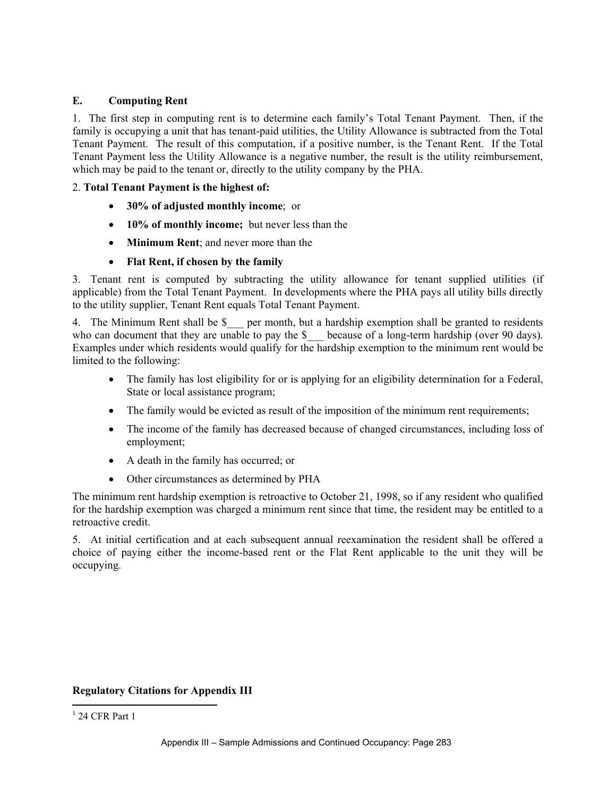# **E. Computing Rent**

1. The first step in computing rent is to determine each family's Total Tenant Payment. Then, if the family is occupying a unit that has tenant-paid utilities, the Utility Allowance is subtracted from the Total Tenant Payment. The result of this computation, if a positive number, is the Tenant Rent. If the Total Tenant Payment less the Utility Allowance is a negative number, the result is the utility reimbursement, which may be paid to the tenant or, directly to the utility company by the PHA.

#### 2. **Total Tenant Payment is the highest of:**

- **30% of adjusted monthly income**; or
- **10% of monthly income;** but never less than the
- **Minimum Rent**; and never more than the
- **Flat Rent, if chosen by the family**

3. Tenant rent is computed by subtracting the utility allowance for tenant supplied utilities (if applicable) from the Total Tenant Payment. In developments where the PHA pays all utility bills directly to the utility supplier, Tenant Rent equals Total Tenant Payment.

4. The Minimum Rent shall be \$ \_\_ per month, but a hardship exemption shall be granted to residents who can document that they are unable to pay the \$ because of a long-term hardship (over 90 days). Examples under which residents would qualify for the hardship exemption to the minimum rent would be limited to the following:

- The family has lost eligibility for or is applying for an eligibility determination for a Federal, State or local assistance program;
- The family would be evicted as result of the imposition of the minimum rent requirements;
- The income of the family has decreased because of changed circumstances, including loss of employment;
- A death in the family has occurred; or
- Other circumstances as determined by PHA

The minimum rent hardship exemption is retroactive to October 21, 1998, so if any resident who qualified for the hardship exemption was charged a minimum rent since that time, the resident may be entitled to a retroactive credit.

5. At initial certification and at each subsequent annual reexamination the resident shall be offered a choice of paying either the income-based rent or the Flat Rent applicable to the unit they will be occupying.

#### **Regulatory Citations for Appendix III**

 $\overline{a}$ 

 $1$  24 CFR Part 1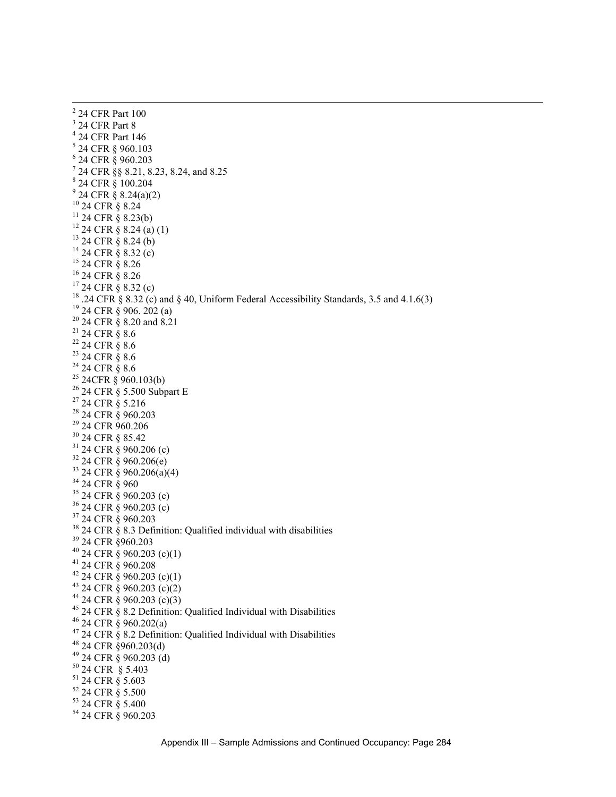$\frac{1}{2}$  $2$  24 CFR Part 100 3 24 CFR Part 8 4 24 CFR Part 146 5 24 CFR § 960.103 6 24 CFR § 960.203 7 24 CFR §§ 8.21, 8.23, 8.24, and 8.25 8 24 CFR § 100.204  $9^9$  24 CFR § 8.24(a)(2) 10 24 CFR § 8.24  $11$  24 CFR  $\frac{9}{8}$  8.23(b)  $12$  24 CFR § 8.24 (a) (1)  $13$  24 CFR § 8.24 (b)  $14$  24 CFR § 8.32 (c) 15 24 CFR § 8.26 16 24 CFR § 8.26  $17\overline{2}$ 4 CFR § 8.32 (c) <sup>18</sup> .24 CFR § 8.32 (c) and § 40, Uniform Federal Accessibility Standards, 3.5 and 4.1.6(3) <sup>19</sup> 24 CFR § 906. 202 (a) <sup>20</sup> 24 CFR § 8.20 and 8.21  $21$  24 CFR  $\S$  8.6  $22$  24 CFR  $\S$  8.6 23 24 CFR § 8.6  $24$  24 CFR  $\S$  8.6  $25$  24CFR § 960.103(b) 26 24 CFR § 5.500 Subpart E 27 24 CFR § 5.216 <sup>28</sup> 24 CFR § 960.203 29 24 CFR 960.206 30 24 CFR § 85.42  $31$  24 CFR  $\frac{8}{9}$  960.206 (c)  $32\overline{24}$  CFR § 960.206(e)  $33$  24 CFR  $\frac{8}{5}$  960.206(a)(4) <sup>34</sup> 24 CFR § 960  $35$  24 CFR  $\frac{8}{9}$  960.203 (c)  $36$  24 CFR § 960.203 (c) 37 24 CFR § 960.203  $38$  24 CFR  $\check{S}$  8.3 Definition: Qualified individual with disabilities 39 24 CFR §960.203  $40$  24 CFR § 960.203 (c)(1) 41 24 CFR § 960.208  $42$  24 CFR § 960.203 (c)(1)  $43$  24 CFR § 960.203 (c)(2)  $44$  24 CFR § 960.203 (c)(3) <sup>45</sup> 24 CFR § 8.2 Definition: Qualified Individual with Disabilities 46 24 CFR § 960.202(a)  $47$  24 CFR  $\frac{8}{9}$  8.2 Definition: Qualified Individual with Disabilities 48 24 CFR §960.203(d) 49 24 CFR § 960.203 (d) 50 24 CFR § 5.403 51 24 CFR § 5.603 52 24 CFR § 5.500 53 24 CFR § 5.400 54 24 CFR § 960.203